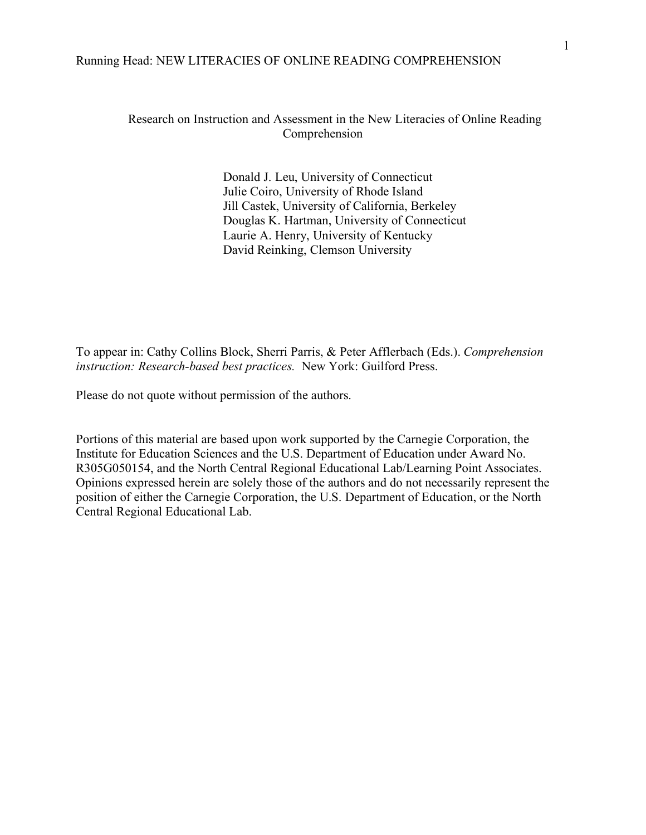## Research on Instruction and Assessment in the New Literacies of Online Reading Comprehension

Donald J. Leu, University of Connecticut Julie Coiro, University of Rhode Island Jill Castek, University of California, Berkeley Douglas K. Hartman, University of Connecticut Laurie A. Henry, University of Kentucky David Reinking, Clemson University

To appear in: Cathy Collins Block, Sherri Parris, & Peter Afflerbach (Eds.). *Comprehension instruction: Research-based best practices.* New York: Guilford Press.

Please do not quote without permission of the authors.

Portions of this material are based upon work supported by the Carnegie Corporation, the Institute for Education Sciences and the U.S. Department of Education under Award No. R305G050154, and the North Central Regional Educational Lab/Learning Point Associates. Opinions expressed herein are solely those of the authors and do not necessarily represent the position of either the Carnegie Corporation, the U.S. Department of Education, or the North Central Regional Educational Lab.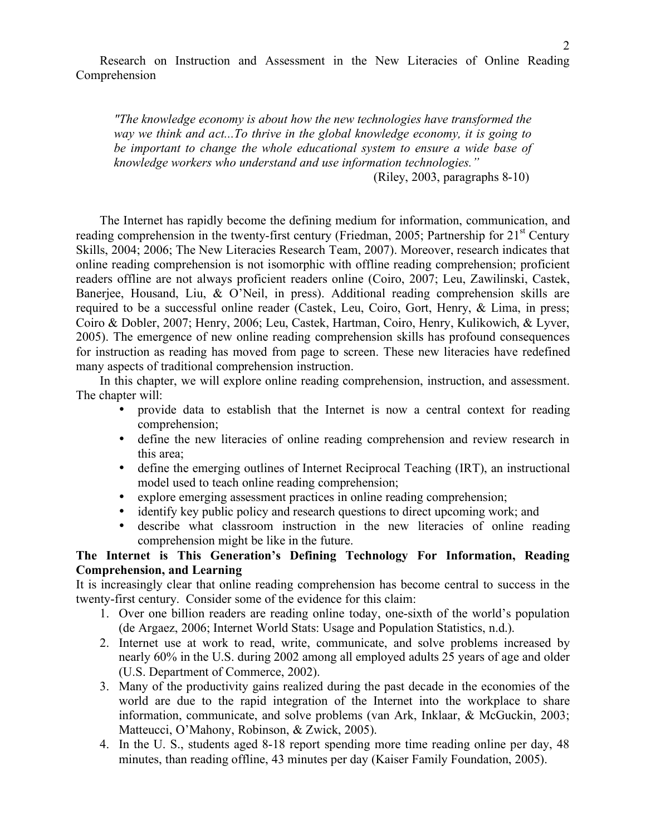Research on Instruction and Assessment in the New Literacies of Online Reading Comprehension

*"The knowledge economy is about how the new technologies have transformed the way we think and act...To thrive in the global knowledge economy, it is going to be important to change the whole educational system to ensure a wide base of knowledge workers who understand and use information technologies."* 

(Riley, 2003, paragraphs 8-10)

The Internet has rapidly become the defining medium for information, communication, and reading comprehension in the twenty-first century (Friedman, 2005; Partnership for 21<sup>st</sup> Century Skills, 2004; 2006; The New Literacies Research Team, 2007). Moreover, research indicates that online reading comprehension is not isomorphic with offline reading comprehension; proficient readers offline are not always proficient readers online (Coiro, 2007; Leu, Zawilinski, Castek, Banerjee, Housand, Liu, & O'Neil, in press). Additional reading comprehension skills are required to be a successful online reader (Castek, Leu, Coiro, Gort, Henry, & Lima, in press; Coiro & Dobler, 2007; Henry, 2006; Leu, Castek, Hartman, Coiro, Henry, Kulikowich, & Lyver, 2005). The emergence of new online reading comprehension skills has profound consequences for instruction as reading has moved from page to screen. These new literacies have redefined many aspects of traditional comprehension instruction.

In this chapter, we will explore online reading comprehension, instruction, and assessment. The chapter will:

- provide data to establish that the Internet is now a central context for reading comprehension;
- define the new literacies of online reading comprehension and review research in this area;
- define the emerging outlines of Internet Reciprocal Teaching (IRT), an instructional model used to teach online reading comprehension;
- explore emerging assessment practices in online reading comprehension;
- identify key public policy and research questions to direct upcoming work; and
- describe what classroom instruction in the new literacies of online reading comprehension might be like in the future.

# **The Internet is This Generation's Defining Technology For Information, Reading Comprehension, and Learning**

It is increasingly clear that online reading comprehension has become central to success in the twenty-first century. Consider some of the evidence for this claim:

- 1. Over one billion readers are reading online today, one-sixth of the world's population (de Argaez, 2006; Internet World Stats: Usage and Population Statistics, n.d.).
- 2. Internet use at work to read, write, communicate, and solve problems increased by nearly 60% in the U.S. during 2002 among all employed adults 25 years of age and older (U.S. Department of Commerce, 2002).
- 3. Many of the productivity gains realized during the past decade in the economies of the world are due to the rapid integration of the Internet into the workplace to share information, communicate, and solve problems (van Ark, Inklaar, & McGuckin, 2003; Matteucci, O'Mahony, Robinson, & Zwick, 2005).
- 4. In the U. S., students aged 8-18 report spending more time reading online per day, 48 minutes, than reading offline, 43 minutes per day (Kaiser Family Foundation, 2005).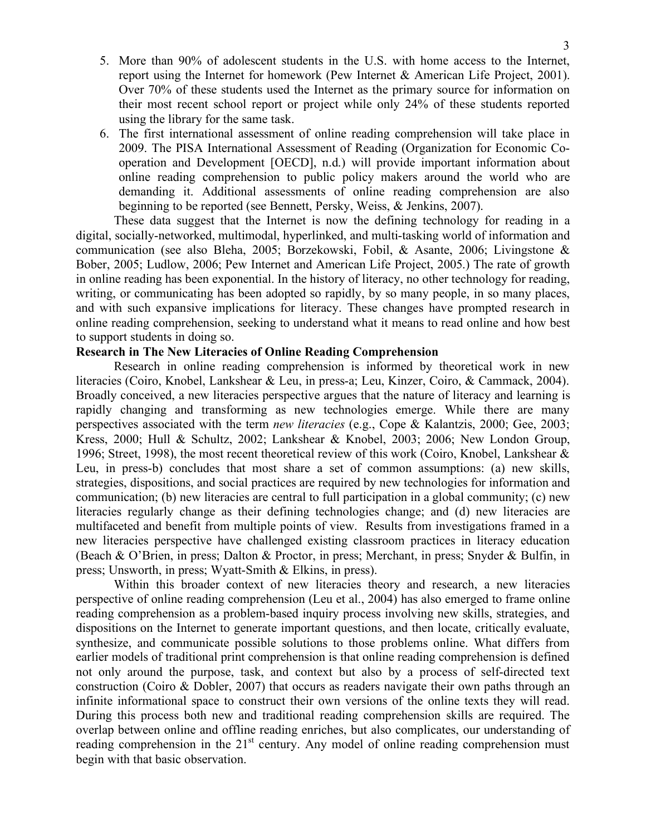- 5. More than 90% of adolescent students in the U.S. with home access to the Internet, report using the Internet for homework (Pew Internet & American Life Project, 2001). Over 70% of these students used the Internet as the primary source for information on their most recent school report or project while only 24% of these students reported using the library for the same task.
- 6. The first international assessment of online reading comprehension will take place in 2009. The PISA International Assessment of Reading (Organization for Economic Cooperation and Development [OECD], n.d.) will provide important information about online reading comprehension to public policy makers around the world who are demanding it. Additional assessments of online reading comprehension are also beginning to be reported (see Bennett, Persky, Weiss, & Jenkins, 2007).

These data suggest that the Internet is now the defining technology for reading in a digital, socially-networked, multimodal, hyperlinked, and multi-tasking world of information and communication (see also Bleha, 2005; Borzekowski, Fobil, & Asante, 2006; Livingstone & Bober, 2005; Ludlow, 2006; Pew Internet and American Life Project, 2005.) The rate of growth in online reading has been exponential. In the history of literacy, no other technology for reading, writing, or communicating has been adopted so rapidly, by so many people, in so many places, and with such expansive implications for literacy. These changes have prompted research in online reading comprehension, seeking to understand what it means to read online and how best to support students in doing so.

### **Research in The New Literacies of Online Reading Comprehension**

Research in online reading comprehension is informed by theoretical work in new literacies (Coiro, Knobel, Lankshear & Leu, in press-a; Leu, Kinzer, Coiro, & Cammack, 2004). Broadly conceived, a new literacies perspective argues that the nature of literacy and learning is rapidly changing and transforming as new technologies emerge. While there are many perspectives associated with the term *new literacies* (e.g., Cope & Kalantzis, 2000; Gee, 2003; Kress, 2000; Hull & Schultz, 2002; Lankshear & Knobel, 2003; 2006; New London Group, 1996; Street, 1998), the most recent theoretical review of this work (Coiro, Knobel, Lankshear & Leu, in press-b) concludes that most share a set of common assumptions: (a) new skills, strategies, dispositions, and social practices are required by new technologies for information and communication; (b) new literacies are central to full participation in a global community; (c) new literacies regularly change as their defining technologies change; and (d) new literacies are multifaceted and benefit from multiple points of view. Results from investigations framed in a new literacies perspective have challenged existing classroom practices in literacy education (Beach & O'Brien, in press; Dalton & Proctor, in press; Merchant, in press; Snyder & Bulfin, in press; Unsworth, in press; Wyatt-Smith & Elkins, in press).

Within this broader context of new literacies theory and research, a new literacies perspective of online reading comprehension (Leu et al., 2004) has also emerged to frame online reading comprehension as a problem-based inquiry process involving new skills, strategies, and dispositions on the Internet to generate important questions, and then locate, critically evaluate, synthesize, and communicate possible solutions to those problems online. What differs from earlier models of traditional print comprehension is that online reading comprehension is defined not only around the purpose, task, and context but also by a process of self-directed text construction (Coiro & Dobler, 2007) that occurs as readers navigate their own paths through an infinite informational space to construct their own versions of the online texts they will read. During this process both new and traditional reading comprehension skills are required. The overlap between online and offline reading enriches, but also complicates, our understanding of reading comprehension in the 21<sup>st</sup> century. Any model of online reading comprehension must begin with that basic observation.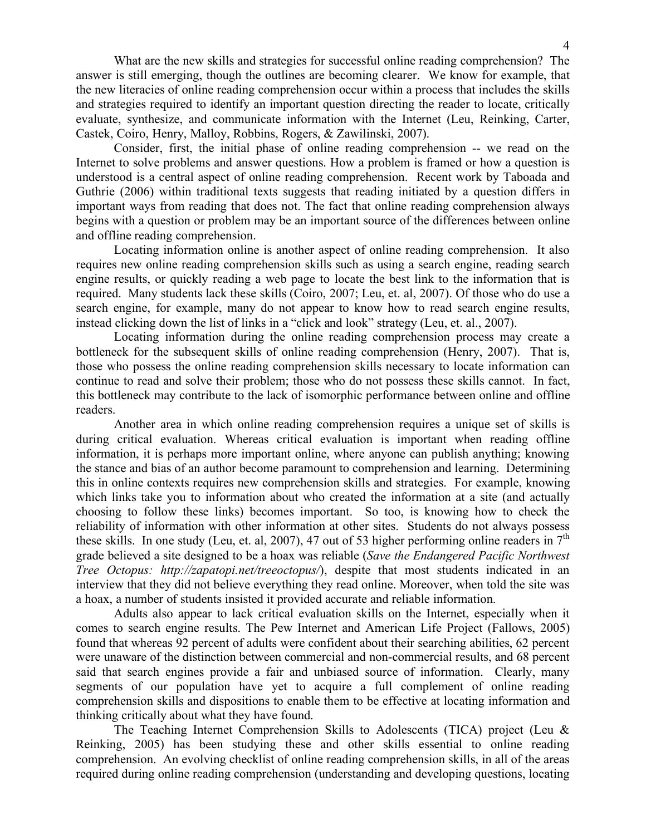What are the new skills and strategies for successful online reading comprehension? The answer is still emerging, though the outlines are becoming clearer. We know for example, that the new literacies of online reading comprehension occur within a process that includes the skills and strategies required to identify an important question directing the reader to locate, critically evaluate, synthesize, and communicate information with the Internet (Leu, Reinking, Carter, Castek, Coiro, Henry, Malloy, Robbins, Rogers, & Zawilinski, 2007).

Consider, first, the initial phase of online reading comprehension -- we read on the Internet to solve problems and answer questions. How a problem is framed or how a question is understood is a central aspect of online reading comprehension. Recent work by Taboada and Guthrie (2006) within traditional texts suggests that reading initiated by a question differs in important ways from reading that does not. The fact that online reading comprehension always begins with a question or problem may be an important source of the differences between online and offline reading comprehension.

Locating information online is another aspect of online reading comprehension. It also requires new online reading comprehension skills such as using a search engine, reading search engine results, or quickly reading a web page to locate the best link to the information that is required. Many students lack these skills (Coiro, 2007; Leu, et. al, 2007). Of those who do use a search engine, for example, many do not appear to know how to read search engine results, instead clicking down the list of links in a "click and look" strategy (Leu, et. al., 2007).

Locating information during the online reading comprehension process may create a bottleneck for the subsequent skills of online reading comprehension (Henry, 2007). That is, those who possess the online reading comprehension skills necessary to locate information can continue to read and solve their problem; those who do not possess these skills cannot. In fact, this bottleneck may contribute to the lack of isomorphic performance between online and offline readers.

Another area in which online reading comprehension requires a unique set of skills is during critical evaluation. Whereas critical evaluation is important when reading offline information, it is perhaps more important online, where anyone can publish anything; knowing the stance and bias of an author become paramount to comprehension and learning. Determining this in online contexts requires new comprehension skills and strategies. For example, knowing which links take you to information about who created the information at a site (and actually choosing to follow these links) becomes important. So too, is knowing how to check the reliability of information with other information at other sites. Students do not always possess these skills. In one study (Leu, et. al, 2007), 47 out of 53 higher performing online readers in  $7<sup>th</sup>$ grade believed a site designed to be a hoax was reliable (*Save the Endangered Pacific Northwest Tree Octopus: http://zapatopi.net/treeoctopus/*), despite that most students indicated in an interview that they did not believe everything they read online. Moreover, when told the site was a hoax, a number of students insisted it provided accurate and reliable information.

Adults also appear to lack critical evaluation skills on the Internet, especially when it comes to search engine results. The Pew Internet and American Life Project (Fallows, 2005) found that whereas 92 percent of adults were confident about their searching abilities, 62 percent were unaware of the distinction between commercial and non-commercial results, and 68 percent said that search engines provide a fair and unbiased source of information. Clearly, many segments of our population have yet to acquire a full complement of online reading comprehension skills and dispositions to enable them to be effective at locating information and thinking critically about what they have found.

The Teaching Internet Comprehension Skills to Adolescents (TICA) project (Leu & Reinking, 2005) has been studying these and other skills essential to online reading comprehension. An evolving checklist of online reading comprehension skills, in all of the areas required during online reading comprehension (understanding and developing questions, locating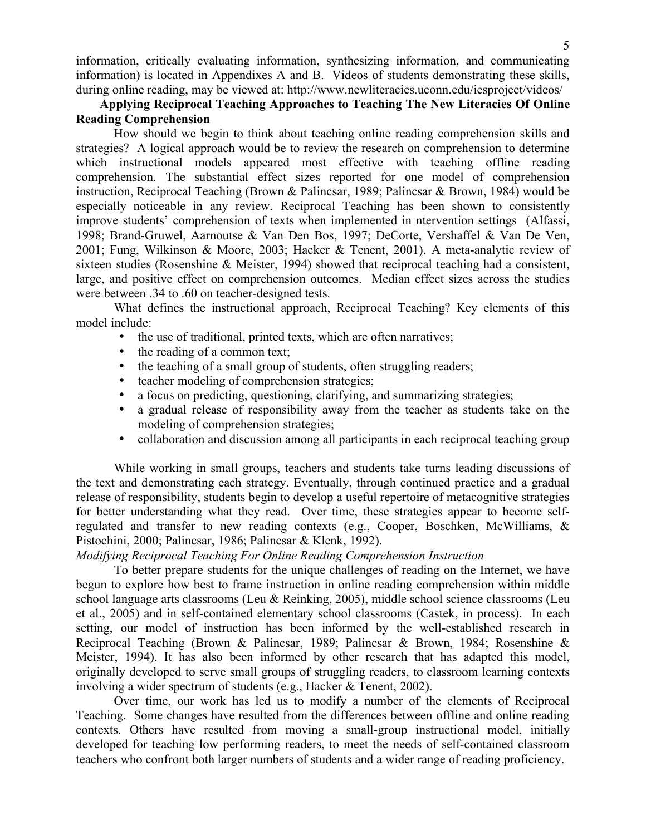information, critically evaluating information, synthesizing information, and communicating information) is located in Appendixes A and B. Videos of students demonstrating these skills, during online reading, may be viewed at: http://www.newliteracies.uconn.edu/iesproject/videos/

# **Applying Reciprocal Teaching Approaches to Teaching The New Literacies Of Online Reading Comprehension**

How should we begin to think about teaching online reading comprehension skills and strategies? A logical approach would be to review the research on comprehension to determine which instructional models appeared most effective with teaching offline reading comprehension. The substantial effect sizes reported for one model of comprehension instruction, Reciprocal Teaching (Brown & Palincsar, 1989; Palincsar & Brown, 1984) would be especially noticeable in any review. Reciprocal Teaching has been shown to consistently improve students' comprehension of texts when implemented in ntervention settings (Alfassi, 1998; Brand-Gruwel, Aarnoutse & Van Den Bos, 1997; DeCorte, Vershaffel & Van De Ven, 2001; Fung, Wilkinson & Moore, 2003; Hacker & Tenent, 2001). A meta-analytic review of sixteen studies (Rosenshine & Meister, 1994) showed that reciprocal teaching had a consistent, large, and positive effect on comprehension outcomes. Median effect sizes across the studies were between .34 to .60 on teacher-designed tests.

What defines the instructional approach, Reciprocal Teaching? Key elements of this model include:

- the use of traditional, printed texts, which are often narratives;
- the reading of a common text;<br>• the teaching of a small group  $\alpha$
- the teaching of a small group of students, often struggling readers;
- teacher modeling of comprehension strategies;
- a focus on predicting, questioning, clarifying, and summarizing strategies;
- a gradual release of responsibility away from the teacher as students take on the modeling of comprehension strategies;
- collaboration and discussion among all participants in each reciprocal teaching group

While working in small groups, teachers and students take turns leading discussions of the text and demonstrating each strategy. Eventually, through continued practice and a gradual release of responsibility, students begin to develop a useful repertoire of metacognitive strategies for better understanding what they read. Over time, these strategies appear to become selfregulated and transfer to new reading contexts (e.g., Cooper, Boschken, McWilliams, & Pistochini, 2000; Palincsar, 1986; Palincsar & Klenk, 1992).

# *Modifying Reciprocal Teaching For Online Reading Comprehension Instruction*

To better prepare students for the unique challenges of reading on the Internet, we have begun to explore how best to frame instruction in online reading comprehension within middle school language arts classrooms (Leu & Reinking, 2005), middle school science classrooms (Leu et al., 2005) and in self-contained elementary school classrooms (Castek, in process). In each setting, our model of instruction has been informed by the well-established research in Reciprocal Teaching (Brown & Palincsar, 1989; Palincsar & Brown, 1984; Rosenshine & Meister, 1994). It has also been informed by other research that has adapted this model, originally developed to serve small groups of struggling readers, to classroom learning contexts involving a wider spectrum of students (e.g., Hacker & Tenent, 2002).

Over time, our work has led us to modify a number of the elements of Reciprocal Teaching. Some changes have resulted from the differences between offline and online reading contexts. Others have resulted from moving a small-group instructional model, initially developed for teaching low performing readers, to meet the needs of self-contained classroom teachers who confront both larger numbers of students and a wider range of reading proficiency.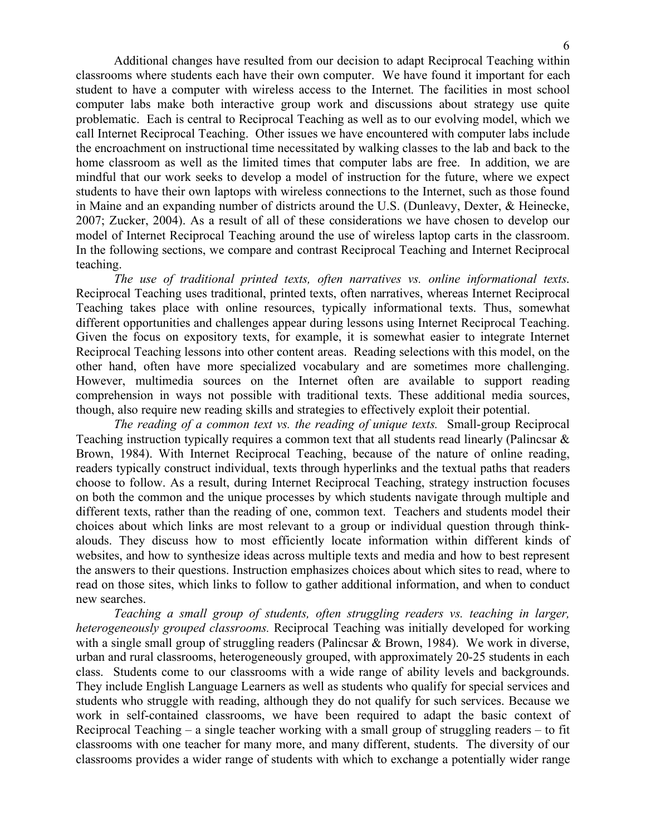Additional changes have resulted from our decision to adapt Reciprocal Teaching within classrooms where students each have their own computer. We have found it important for each student to have a computer with wireless access to the Internet. The facilities in most school computer labs make both interactive group work and discussions about strategy use quite problematic. Each is central to Reciprocal Teaching as well as to our evolving model, which we call Internet Reciprocal Teaching. Other issues we have encountered with computer labs include the encroachment on instructional time necessitated by walking classes to the lab and back to the home classroom as well as the limited times that computer labs are free. In addition, we are mindful that our work seeks to develop a model of instruction for the future, where we expect students to have their own laptops with wireless connections to the Internet, such as those found in Maine and an expanding number of districts around the U.S. (Dunleavy, Dexter, & Heinecke, 2007; Zucker, 2004). As a result of all of these considerations we have chosen to develop our model of Internet Reciprocal Teaching around the use of wireless laptop carts in the classroom. In the following sections, we compare and contrast Reciprocal Teaching and Internet Reciprocal teaching.

*The use of traditional printed texts, often narratives vs. online informational texts*. Reciprocal Teaching uses traditional, printed texts, often narratives, whereas Internet Reciprocal Teaching takes place with online resources, typically informational texts. Thus, somewhat different opportunities and challenges appear during lessons using Internet Reciprocal Teaching. Given the focus on expository texts, for example, it is somewhat easier to integrate Internet Reciprocal Teaching lessons into other content areas. Reading selections with this model, on the other hand, often have more specialized vocabulary and are sometimes more challenging. However, multimedia sources on the Internet often are available to support reading comprehension in ways not possible with traditional texts. These additional media sources, though, also require new reading skills and strategies to effectively exploit their potential.

*The reading of a common text vs. the reading of unique texts.* Small-group Reciprocal Teaching instruction typically requires a common text that all students read linearly (Palincsar & Brown, 1984). With Internet Reciprocal Teaching, because of the nature of online reading, readers typically construct individual, texts through hyperlinks and the textual paths that readers choose to follow. As a result, during Internet Reciprocal Teaching, strategy instruction focuses on both the common and the unique processes by which students navigate through multiple and different texts, rather than the reading of one, common text. Teachers and students model their choices about which links are most relevant to a group or individual question through thinkalouds. They discuss how to most efficiently locate information within different kinds of websites, and how to synthesize ideas across multiple texts and media and how to best represent the answers to their questions. Instruction emphasizes choices about which sites to read, where to read on those sites, which links to follow to gather additional information, and when to conduct new searches.

*Teaching a small group of students, often struggling readers vs. teaching in larger, heterogeneously grouped classrooms.* Reciprocal Teaching was initially developed for working with a single small group of struggling readers (Palincsar & Brown, 1984). We work in diverse, urban and rural classrooms, heterogeneously grouped, with approximately 20-25 students in each class. Students come to our classrooms with a wide range of ability levels and backgrounds. They include English Language Learners as well as students who qualify for special services and students who struggle with reading, although they do not qualify for such services. Because we work in self-contained classrooms, we have been required to adapt the basic context of Reciprocal Teaching – a single teacher working with a small group of struggling readers – to fit classrooms with one teacher for many more, and many different, students. The diversity of our classrooms provides a wider range of students with which to exchange a potentially wider range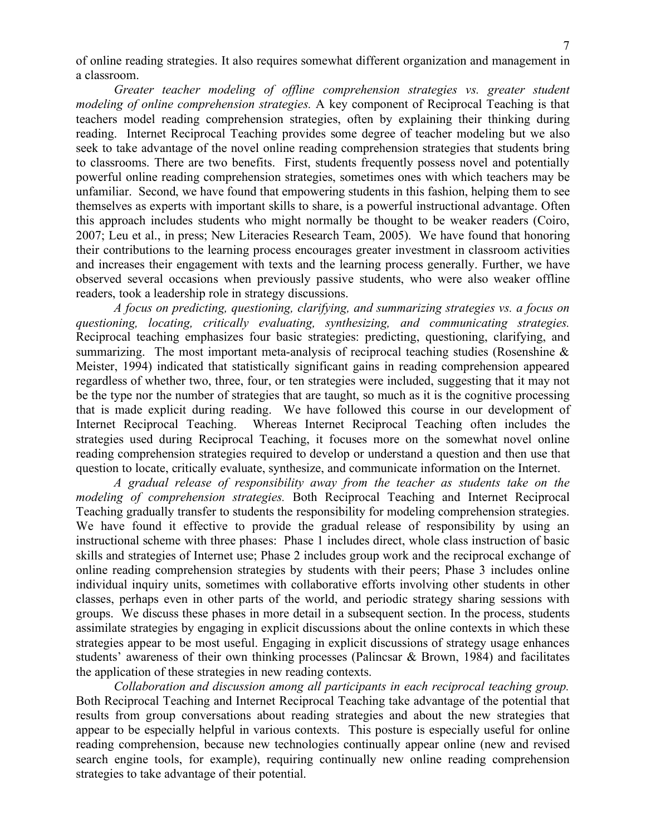of online reading strategies. It also requires somewhat different organization and management in a classroom.

*Greater teacher modeling of offline comprehension strategies vs. greater student modeling of online comprehension strategies.* A key component of Reciprocal Teaching is that teachers model reading comprehension strategies, often by explaining their thinking during reading. Internet Reciprocal Teaching provides some degree of teacher modeling but we also seek to take advantage of the novel online reading comprehension strategies that students bring to classrooms. There are two benefits. First, students frequently possess novel and potentially powerful online reading comprehension strategies, sometimes ones with which teachers may be unfamiliar. Second, we have found that empowering students in this fashion, helping them to see themselves as experts with important skills to share, is a powerful instructional advantage. Often this approach includes students who might normally be thought to be weaker readers (Coiro, 2007; Leu et al., in press; New Literacies Research Team, 2005). We have found that honoring their contributions to the learning process encourages greater investment in classroom activities and increases their engagement with texts and the learning process generally. Further, we have observed several occasions when previously passive students, who were also weaker offline readers, took a leadership role in strategy discussions.

*A focus on predicting, questioning, clarifying, and summarizing strategies vs. a focus on questioning, locating, critically evaluating, synthesizing, and communicating strategies.* Reciprocal teaching emphasizes four basic strategies: predicting, questioning, clarifying, and summarizing. The most important meta-analysis of reciprocal teaching studies (Rosenshine & Meister, 1994) indicated that statistically significant gains in reading comprehension appeared regardless of whether two, three, four, or ten strategies were included, suggesting that it may not be the type nor the number of strategies that are taught, so much as it is the cognitive processing that is made explicit during reading. We have followed this course in our development of Internet Reciprocal Teaching. Whereas Internet Reciprocal Teaching often includes the strategies used during Reciprocal Teaching, it focuses more on the somewhat novel online reading comprehension strategies required to develop or understand a question and then use that question to locate, critically evaluate, synthesize, and communicate information on the Internet.

*A gradual release of responsibility away from the teacher as students take on the modeling of comprehension strategies.* Both Reciprocal Teaching and Internet Reciprocal Teaching gradually transfer to students the responsibility for modeling comprehension strategies. We have found it effective to provide the gradual release of responsibility by using an instructional scheme with three phases: Phase 1 includes direct, whole class instruction of basic skills and strategies of Internet use; Phase 2 includes group work and the reciprocal exchange of online reading comprehension strategies by students with their peers; Phase 3 includes online individual inquiry units, sometimes with collaborative efforts involving other students in other classes, perhaps even in other parts of the world, and periodic strategy sharing sessions with groups. We discuss these phases in more detail in a subsequent section. In the process, students assimilate strategies by engaging in explicit discussions about the online contexts in which these strategies appear to be most useful. Engaging in explicit discussions of strategy usage enhances students' awareness of their own thinking processes (Palincsar & Brown, 1984) and facilitates the application of these strategies in new reading contexts.

*Collaboration and discussion among all participants in each reciprocal teaching group.*  Both Reciprocal Teaching and Internet Reciprocal Teaching take advantage of the potential that results from group conversations about reading strategies and about the new strategies that appear to be especially helpful in various contexts. This posture is especially useful for online reading comprehension, because new technologies continually appear online (new and revised search engine tools, for example), requiring continually new online reading comprehension strategies to take advantage of their potential.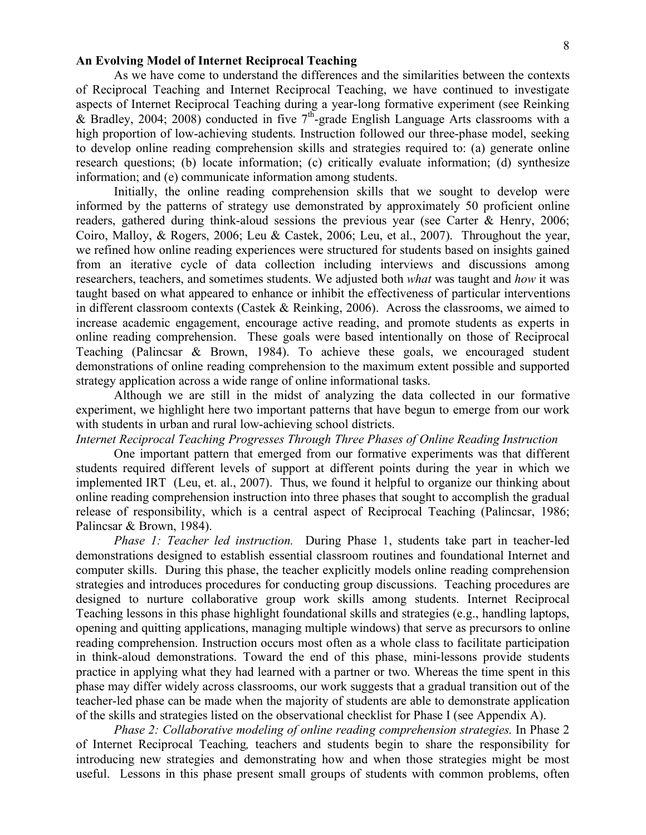# **An Evolving Model of Internet Reciprocal Teaching**

As we have come to understand the differences and the similarities between the contexts of Reciprocal Teaching and Internet Reciprocal Teaching, we have continued to investigate aspects of Internet Reciprocal Teaching during a year-long formative experiment (see Reinking & Bradley, 2004; 2008) conducted in five  $7<sup>th</sup>$ -grade English Language Arts classrooms with a high proportion of low-achieving students. Instruction followed our three-phase model, seeking to develop online reading comprehension skills and strategies required to: (a) generate online research questions; (b) locate information; (c) critically evaluate information; (d) synthesize information; and (e) communicate information among students.

Initially, the online reading comprehension skills that we sought to develop were informed by the patterns of strategy use demonstrated by approximately 50 proficient online readers, gathered during think-aloud sessions the previous year (see Carter & Henry, 2006; Coiro, Malloy, & Rogers, 2006; Leu & Castek, 2006; Leu, et al., 2007). Throughout the year, we refined how online reading experiences were structured for students based on insights gained from an iterative cycle of data collection including interviews and discussions among researchers, teachers, and sometimes students. We adjusted both *what* was taught and *how* it was taught based on what appeared to enhance or inhibit the effectiveness of particular interventions in different classroom contexts (Castek & Reinking, 2006). Across the classrooms, we aimed to increase academic engagement, encourage active reading, and promote students as experts in online reading comprehension. These goals were based intentionally on those of Reciprocal Teaching (Palincsar & Brown, 1984). To achieve these goals, we encouraged student demonstrations of online reading comprehension to the maximum extent possible and supported strategy application across a wide range of online informational tasks.

Although we are still in the midst of analyzing the data collected in our formative experiment, we highlight here two important patterns that have begun to emerge from our work with students in urban and rural low-achieving school districts.

*Internet Reciprocal Teaching Progresses Through Three Phases of Online Reading Instruction* 

One important pattern that emerged from our formative experiments was that different students required different levels of support at different points during the year in which we implemented IRT (Leu, et. al., 2007). Thus, we found it helpful to organize our thinking about online reading comprehension instruction into three phases that sought to accomplish the gradual release of responsibility, which is a central aspect of Reciprocal Teaching (Palincsar, 1986; Palincsar & Brown, 1984).

*Phase 1: Teacher led instruction.* During Phase 1, students take part in teacher-led demonstrations designed to establish essential classroom routines and foundational Internet and computer skills. During this phase, the teacher explicitly models online reading comprehension strategies and introduces procedures for conducting group discussions. Teaching procedures are designed to nurture collaborative group work skills among students. Internet Reciprocal Teaching lessons in this phase highlight foundational skills and strategies (e.g., handling laptops, opening and quitting applications, managing multiple windows) that serve as precursors to online reading comprehension. Instruction occurs most often as a whole class to facilitate participation in think-aloud demonstrations. Toward the end of this phase, mini-lessons provide students practice in applying what they had learned with a partner or two. Whereas the time spent in this phase may differ widely across classrooms, our work suggests that a gradual transition out of the teacher-led phase can be made when the majority of students are able to demonstrate application of the skills and strategies listed on the observational checklist for Phase I (see Appendix A).

*Phase 2: Collaborative modeling of online reading comprehension strategies.* In Phase 2 of Internet Reciprocal Teaching*,* teachers and students begin to share the responsibility for introducing new strategies and demonstrating how and when those strategies might be most useful. Lessons in this phase present small groups of students with common problems, often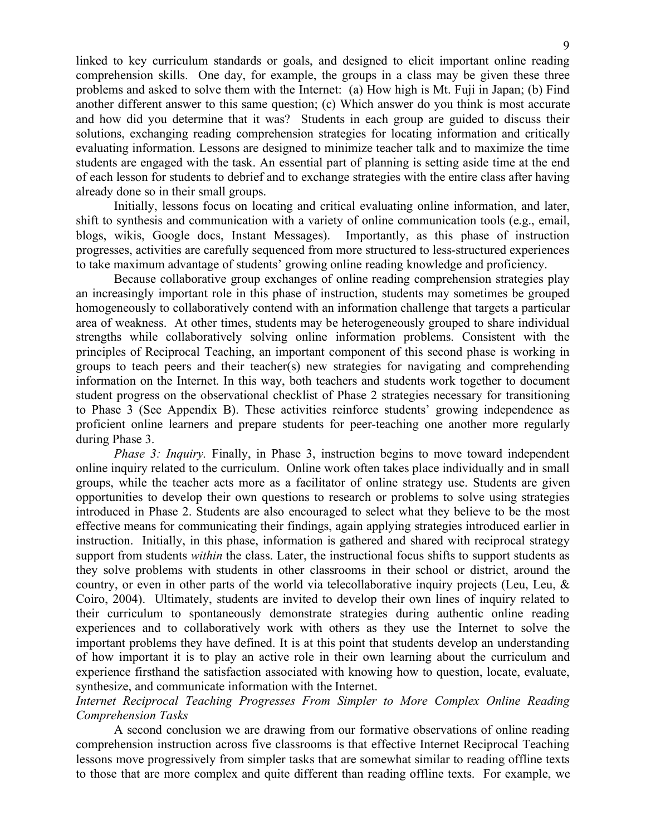linked to key curriculum standards or goals, and designed to elicit important online reading comprehension skills. One day, for example, the groups in a class may be given these three problems and asked to solve them with the Internet: (a) How high is Mt. Fuji in Japan; (b) Find another different answer to this same question; (c) Which answer do you think is most accurate and how did you determine that it was? Students in each group are guided to discuss their solutions, exchanging reading comprehension strategies for locating information and critically evaluating information. Lessons are designed to minimize teacher talk and to maximize the time students are engaged with the task. An essential part of planning is setting aside time at the end of each lesson for students to debrief and to exchange strategies with the entire class after having already done so in their small groups.

Initially, lessons focus on locating and critical evaluating online information, and later, shift to synthesis and communication with a variety of online communication tools (e.g., email, blogs, wikis, Google docs, Instant Messages). Importantly, as this phase of instruction progresses, activities are carefully sequenced from more structured to less-structured experiences to take maximum advantage of students' growing online reading knowledge and proficiency.

Because collaborative group exchanges of online reading comprehension strategies play an increasingly important role in this phase of instruction, students may sometimes be grouped homogeneously to collaboratively contend with an information challenge that targets a particular area of weakness. At other times, students may be heterogeneously grouped to share individual strengths while collaboratively solving online information problems. Consistent with the principles of Reciprocal Teaching, an important component of this second phase is working in groups to teach peers and their teacher(s) new strategies for navigating and comprehending information on the Internet. In this way, both teachers and students work together to document student progress on the observational checklist of Phase 2 strategies necessary for transitioning to Phase 3 (See Appendix B). These activities reinforce students' growing independence as proficient online learners and prepare students for peer-teaching one another more regularly during Phase 3.

*Phase 3: Inquiry.* Finally, in Phase 3, instruction begins to move toward independent online inquiry related to the curriculum. Online work often takes place individually and in small groups, while the teacher acts more as a facilitator of online strategy use. Students are given opportunities to develop their own questions to research or problems to solve using strategies introduced in Phase 2. Students are also encouraged to select what they believe to be the most effective means for communicating their findings, again applying strategies introduced earlier in instruction. Initially, in this phase, information is gathered and shared with reciprocal strategy support from students *within* the class. Later, the instructional focus shifts to support students as they solve problems with students in other classrooms in their school or district, around the country, or even in other parts of the world via telecollaborative inquiry projects (Leu, Leu, & Coiro, 2004). Ultimately, students are invited to develop their own lines of inquiry related to their curriculum to spontaneously demonstrate strategies during authentic online reading experiences and to collaboratively work with others as they use the Internet to solve the important problems they have defined. It is at this point that students develop an understanding of how important it is to play an active role in their own learning about the curriculum and experience firsthand the satisfaction associated with knowing how to question, locate, evaluate, synthesize, and communicate information with the Internet.

*Internet Reciprocal Teaching Progresses From Simpler to More Complex Online Reading Comprehension Tasks*

A second conclusion we are drawing from our formative observations of online reading comprehension instruction across five classrooms is that effective Internet Reciprocal Teaching lessons move progressively from simpler tasks that are somewhat similar to reading offline texts to those that are more complex and quite different than reading offline texts. For example, we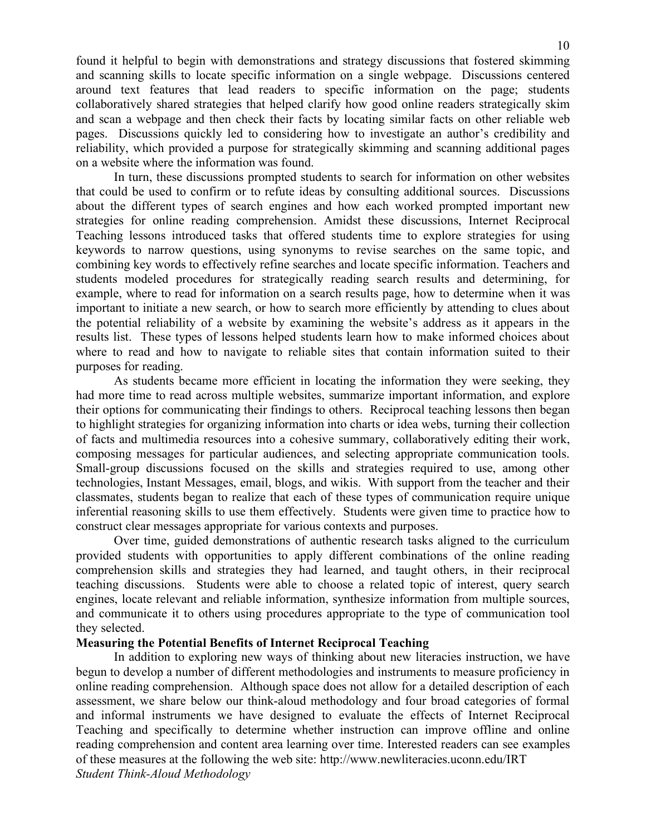found it helpful to begin with demonstrations and strategy discussions that fostered skimming and scanning skills to locate specific information on a single webpage. Discussions centered around text features that lead readers to specific information on the page; students collaboratively shared strategies that helped clarify how good online readers strategically skim and scan a webpage and then check their facts by locating similar facts on other reliable web pages. Discussions quickly led to considering how to investigate an author's credibility and reliability, which provided a purpose for strategically skimming and scanning additional pages on a website where the information was found.

In turn, these discussions prompted students to search for information on other websites that could be used to confirm or to refute ideas by consulting additional sources. Discussions about the different types of search engines and how each worked prompted important new strategies for online reading comprehension. Amidst these discussions, Internet Reciprocal Teaching lessons introduced tasks that offered students time to explore strategies for using keywords to narrow questions, using synonyms to revise searches on the same topic, and combining key words to effectively refine searches and locate specific information. Teachers and students modeled procedures for strategically reading search results and determining, for example, where to read for information on a search results page, how to determine when it was important to initiate a new search, or how to search more efficiently by attending to clues about the potential reliability of a website by examining the website's address as it appears in the results list. These types of lessons helped students learn how to make informed choices about where to read and how to navigate to reliable sites that contain information suited to their purposes for reading.

As students became more efficient in locating the information they were seeking, they had more time to read across multiple websites, summarize important information, and explore their options for communicating their findings to others. Reciprocal teaching lessons then began to highlight strategies for organizing information into charts or idea webs, turning their collection of facts and multimedia resources into a cohesive summary, collaboratively editing their work, composing messages for particular audiences, and selecting appropriate communication tools. Small-group discussions focused on the skills and strategies required to use, among other technologies, Instant Messages, email, blogs, and wikis. With support from the teacher and their classmates, students began to realize that each of these types of communication require unique inferential reasoning skills to use them effectively. Students were given time to practice how to construct clear messages appropriate for various contexts and purposes.

Over time, guided demonstrations of authentic research tasks aligned to the curriculum provided students with opportunities to apply different combinations of the online reading comprehension skills and strategies they had learned, and taught others, in their reciprocal teaching discussions. Students were able to choose a related topic of interest, query search engines, locate relevant and reliable information, synthesize information from multiple sources, and communicate it to others using procedures appropriate to the type of communication tool they selected.

#### **Measuring the Potential Benefits of Internet Reciprocal Teaching**

In addition to exploring new ways of thinking about new literacies instruction, we have begun to develop a number of different methodologies and instruments to measure proficiency in online reading comprehension. Although space does not allow for a detailed description of each assessment, we share below our think-aloud methodology and four broad categories of formal and informal instruments we have designed to evaluate the effects of Internet Reciprocal Teaching and specifically to determine whether instruction can improve offline and online reading comprehension and content area learning over time. Interested readers can see examples of these measures at the following the web site: http://www.newliteracies.uconn.edu/IRT *Student Think-Aloud Methodology*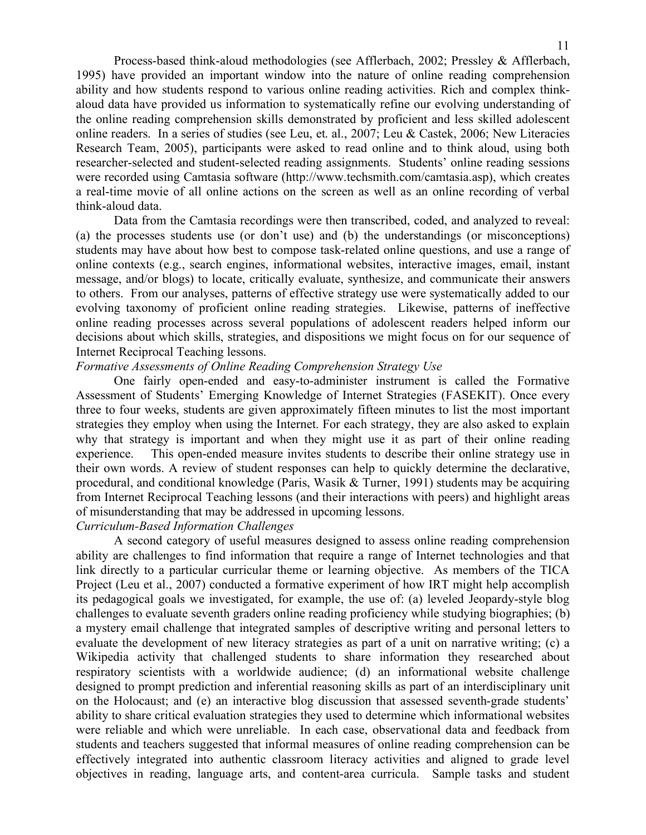Process-based think-aloud methodologies (see Afflerbach, 2002; Pressley & Afflerbach, 1995) have provided an important window into the nature of online reading comprehension ability and how students respond to various online reading activities. Rich and complex thinkaloud data have provided us information to systematically refine our evolving understanding of the online reading comprehension skills demonstrated by proficient and less skilled adolescent online readers. In a series of studies (see Leu, et. al., 2007; Leu & Castek, 2006; New Literacies Research Team, 2005), participants were asked to read online and to think aloud, using both researcher-selected and student-selected reading assignments. Students' online reading sessions were recorded using Camtasia software (http://www.techsmith.com/camtasia.asp), which creates a real-time movie of all online actions on the screen as well as an online recording of verbal think-aloud data.

Data from the Camtasia recordings were then transcribed, coded, and analyzed to reveal: (a) the processes students use (or don't use) and (b) the understandings (or misconceptions) students may have about how best to compose task-related online questions, and use a range of online contexts (e.g., search engines, informational websites, interactive images, email, instant message, and/or blogs) to locate, critically evaluate, synthesize, and communicate their answers to others. From our analyses, patterns of effective strategy use were systematically added to our evolving taxonomy of proficient online reading strategies. Likewise, patterns of ineffective online reading processes across several populations of adolescent readers helped inform our decisions about which skills, strategies, and dispositions we might focus on for our sequence of Internet Reciprocal Teaching lessons.

# *Formative Assessments of Online Reading Comprehension Strategy Use*

One fairly open-ended and easy-to-administer instrument is called the Formative Assessment of Students' Emerging Knowledge of Internet Strategies (FASEKIT). Once every three to four weeks, students are given approximately fifteen minutes to list the most important strategies they employ when using the Internet. For each strategy, they are also asked to explain why that strategy is important and when they might use it as part of their online reading experience. This open-ended measure invites students to describe their online strategy use in their own words. A review of student responses can help to quickly determine the declarative, procedural, and conditional knowledge (Paris, Wasik & Turner, 1991) students may be acquiring from Internet Reciprocal Teaching lessons (and their interactions with peers) and highlight areas of misunderstanding that may be addressed in upcoming lessons.

# *Curriculum-Based Information Challenges*

A second category of useful measures designed to assess online reading comprehension ability are challenges to find information that require a range of Internet technologies and that link directly to a particular curricular theme or learning objective. As members of the TICA Project (Leu et al., 2007) conducted a formative experiment of how IRT might help accomplish its pedagogical goals we investigated, for example, the use of: (a) leveled Jeopardy-style blog challenges to evaluate seventh graders online reading proficiency while studying biographies; (b) a mystery email challenge that integrated samples of descriptive writing and personal letters to evaluate the development of new literacy strategies as part of a unit on narrative writing; (c) a Wikipedia activity that challenged students to share information they researched about respiratory scientists with a worldwide audience; (d) an informational website challenge designed to prompt prediction and inferential reasoning skills as part of an interdisciplinary unit on the Holocaust; and (e) an interactive blog discussion that assessed seventh-grade students' ability to share critical evaluation strategies they used to determine which informational websites were reliable and which were unreliable. In each case, observational data and feedback from students and teachers suggested that informal measures of online reading comprehension can be effectively integrated into authentic classroom literacy activities and aligned to grade level objectives in reading, language arts, and content-area curricula. Sample tasks and student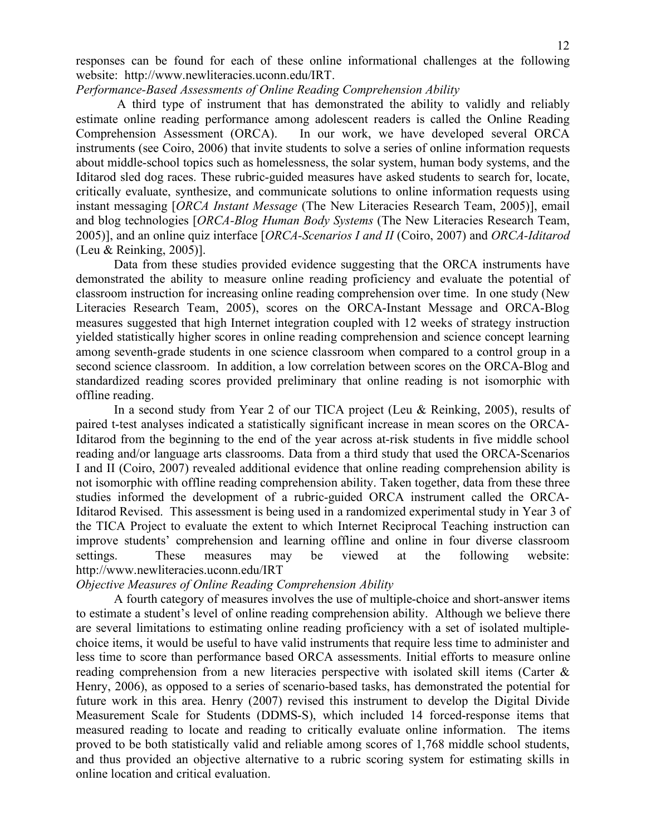responses can be found for each of these online informational challenges at the following website: http://www.newliteracies.uconn.edu/IRT.

# *Performance-Based Assessments of Online Reading Comprehension Ability*

A third type of instrument that has demonstrated the ability to validly and reliably estimate online reading performance among adolescent readers is called the Online Reading Comprehension Assessment (ORCA). In our work, we have developed several ORCA instruments (see Coiro, 2006) that invite students to solve a series of online information requests about middle-school topics such as homelessness, the solar system, human body systems, and the Iditarod sled dog races. These rubric-guided measures have asked students to search for, locate, critically evaluate, synthesize, and communicate solutions to online information requests using instant messaging [*ORCA Instant Message* (The New Literacies Research Team, 2005)], email and blog technologies [*ORCA-Blog Human Body Systems* (The New Literacies Research Team, 2005)], and an online quiz interface [*ORCA-Scenarios I and II* (Coiro, 2007) and *ORCA-Iditarod* (Leu & Reinking, 2005)].

Data from these studies provided evidence suggesting that the ORCA instruments have demonstrated the ability to measure online reading proficiency and evaluate the potential of classroom instruction for increasing online reading comprehension over time. In one study (New Literacies Research Team, 2005), scores on the ORCA-Instant Message and ORCA-Blog measures suggested that high Internet integration coupled with 12 weeks of strategy instruction yielded statistically higher scores in online reading comprehension and science concept learning among seventh-grade students in one science classroom when compared to a control group in a second science classroom. In addition, a low correlation between scores on the ORCA-Blog and standardized reading scores provided preliminary that online reading is not isomorphic with offline reading.

In a second study from Year 2 of our TICA project (Leu & Reinking, 2005), results of paired t-test analyses indicated a statistically significant increase in mean scores on the ORCA-Iditarod from the beginning to the end of the year across at-risk students in five middle school reading and/or language arts classrooms. Data from a third study that used the ORCA-Scenarios I and II (Coiro, 2007) revealed additional evidence that online reading comprehension ability is not isomorphic with offline reading comprehension ability. Taken together, data from these three studies informed the development of a rubric-guided ORCA instrument called the ORCA-Iditarod Revised. This assessment is being used in a randomized experimental study in Year 3 of the TICA Project to evaluate the extent to which Internet Reciprocal Teaching instruction can improve students' comprehension and learning offline and online in four diverse classroom settings. These measures may be viewed at the following website: http://www.newliteracies.uconn.edu/IRT

#### *Objective Measures of Online Reading Comprehension Ability*

A fourth category of measures involves the use of multiple-choice and short-answer items to estimate a student's level of online reading comprehension ability. Although we believe there are several limitations to estimating online reading proficiency with a set of isolated multiplechoice items, it would be useful to have valid instruments that require less time to administer and less time to score than performance based ORCA assessments. Initial efforts to measure online reading comprehension from a new literacies perspective with isolated skill items (Carter & Henry, 2006), as opposed to a series of scenario-based tasks, has demonstrated the potential for future work in this area. Henry (2007) revised this instrument to develop the Digital Divide Measurement Scale for Students (DDMS-S), which included 14 forced-response items that measured reading to locate and reading to critically evaluate online information. The items proved to be both statistically valid and reliable among scores of 1,768 middle school students, and thus provided an objective alternative to a rubric scoring system for estimating skills in online location and critical evaluation.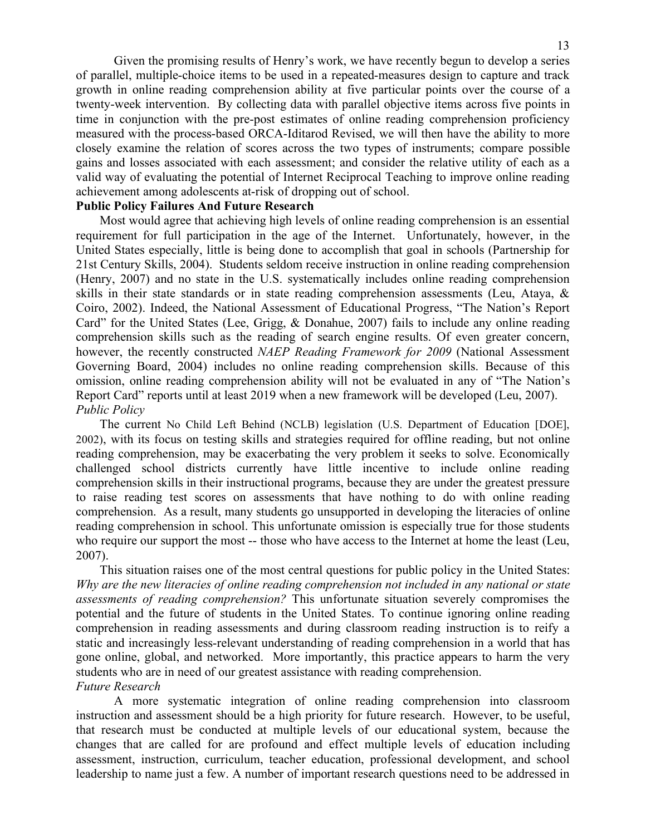Given the promising results of Henry's work, we have recently begun to develop a series of parallel, multiple-choice items to be used in a repeated-measures design to capture and track growth in online reading comprehension ability at five particular points over the course of a twenty-week intervention. By collecting data with parallel objective items across five points in time in conjunction with the pre-post estimates of online reading comprehension proficiency measured with the process-based ORCA-Iditarod Revised, we will then have the ability to more closely examine the relation of scores across the two types of instruments; compare possible gains and losses associated with each assessment; and consider the relative utility of each as a valid way of evaluating the potential of Internet Reciprocal Teaching to improve online reading achievement among adolescents at-risk of dropping out of school.

# **Public Policy Failures And Future Research**

Most would agree that achieving high levels of online reading comprehension is an essential requirement for full participation in the age of the Internet. Unfortunately, however, in the United States especially, little is being done to accomplish that goal in schools (Partnership for 21st Century Skills, 2004). Students seldom receive instruction in online reading comprehension (Henry, 2007) and no state in the U.S. systematically includes online reading comprehension skills in their state standards or in state reading comprehension assessments (Leu, Ataya, & Coiro, 2002). Indeed, the National Assessment of Educational Progress, "The Nation's Report Card" for the United States (Lee, Grigg, & Donahue, 2007) fails to include any online reading comprehension skills such as the reading of search engine results. Of even greater concern, however, the recently constructed *NAEP Reading Framework for 2009* (National Assessment Governing Board, 2004) includes no online reading comprehension skills. Because of this omission, online reading comprehension ability will not be evaluated in any of "The Nation's Report Card" reports until at least 2019 when a new framework will be developed (Leu, 2007). *Public Policy*

The current No Child Left Behind (NCLB) legislation (U.S. Department of Education [DOE], 2002), with its focus on testing skills and strategies required for offline reading, but not online reading comprehension, may be exacerbating the very problem it seeks to solve. Economically challenged school districts currently have little incentive to include online reading comprehension skills in their instructional programs, because they are under the greatest pressure to raise reading test scores on assessments that have nothing to do with online reading comprehension. As a result, many students go unsupported in developing the literacies of online reading comprehension in school. This unfortunate omission is especially true for those students who require our support the most -- those who have access to the Internet at home the least (Leu, 2007).

This situation raises one of the most central questions for public policy in the United States: *Why are the new literacies of online reading comprehension not included in any national or state assessments of reading comprehension?* This unfortunate situation severely compromises the potential and the future of students in the United States. To continue ignoring online reading comprehension in reading assessments and during classroom reading instruction is to reify a static and increasingly less-relevant understanding of reading comprehension in a world that has gone online, global, and networked. More importantly, this practice appears to harm the very students who are in need of our greatest assistance with reading comprehension. *Future Research*

A more systematic integration of online reading comprehension into classroom instruction and assessment should be a high priority for future research. However, to be useful, that research must be conducted at multiple levels of our educational system, because the changes that are called for are profound and effect multiple levels of education including assessment, instruction, curriculum, teacher education, professional development, and school leadership to name just a few. A number of important research questions need to be addressed in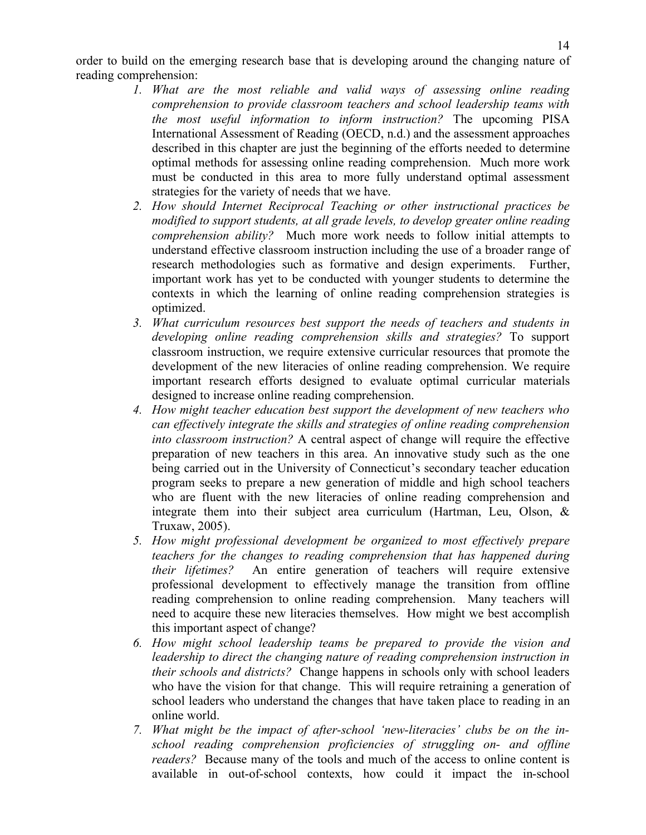order to build on the emerging research base that is developing around the changing nature of reading comprehension:

- *1. What are the most reliable and valid ways of assessing online reading comprehension to provide classroom teachers and school leadership teams with the most useful information to inform instruction?* The upcoming PISA International Assessment of Reading (OECD, n.d.) and the assessment approaches described in this chapter are just the beginning of the efforts needed to determine optimal methods for assessing online reading comprehension. Much more work must be conducted in this area to more fully understand optimal assessment strategies for the variety of needs that we have.
- *2. How should Internet Reciprocal Teaching or other instructional practices be modified to support students, at all grade levels, to develop greater online reading comprehension ability?* Much more work needs to follow initial attempts to understand effective classroom instruction including the use of a broader range of research methodologies such as formative and design experiments. Further, important work has yet to be conducted with younger students to determine the contexts in which the learning of online reading comprehension strategies is optimized.
- *3. What curriculum resources best support the needs of teachers and students in developing online reading comprehension skills and strategies?* To support classroom instruction, we require extensive curricular resources that promote the development of the new literacies of online reading comprehension. We require important research efforts designed to evaluate optimal curricular materials designed to increase online reading comprehension.
- *4. How might teacher education best support the development of new teachers who can effectively integrate the skills and strategies of online reading comprehension into classroom instruction?* A central aspect of change will require the effective preparation of new teachers in this area. An innovative study such as the one being carried out in the University of Connecticut's secondary teacher education program seeks to prepare a new generation of middle and high school teachers who are fluent with the new literacies of online reading comprehension and integrate them into their subject area curriculum (Hartman, Leu, Olson, & Truxaw, 2005).
- *5. How might professional development be organized to most effectively prepare teachers for the changes to reading comprehension that has happened during their lifetimes?* An entire generation of teachers will require extensive professional development to effectively manage the transition from offline reading comprehension to online reading comprehension. Many teachers will need to acquire these new literacies themselves. How might we best accomplish this important aspect of change?
- *6. How might school leadership teams be prepared to provide the vision and leadership to direct the changing nature of reading comprehension instruction in their schools and districts?* Change happens in schools only with school leaders who have the vision for that change. This will require retraining a generation of school leaders who understand the changes that have taken place to reading in an online world.
- *7. What might be the impact of after-school 'new-literacies' clubs be on the inschool reading comprehension proficiencies of struggling on- and offline readers?* Because many of the tools and much of the access to online content is available in out-of-school contexts, how could it impact the in-school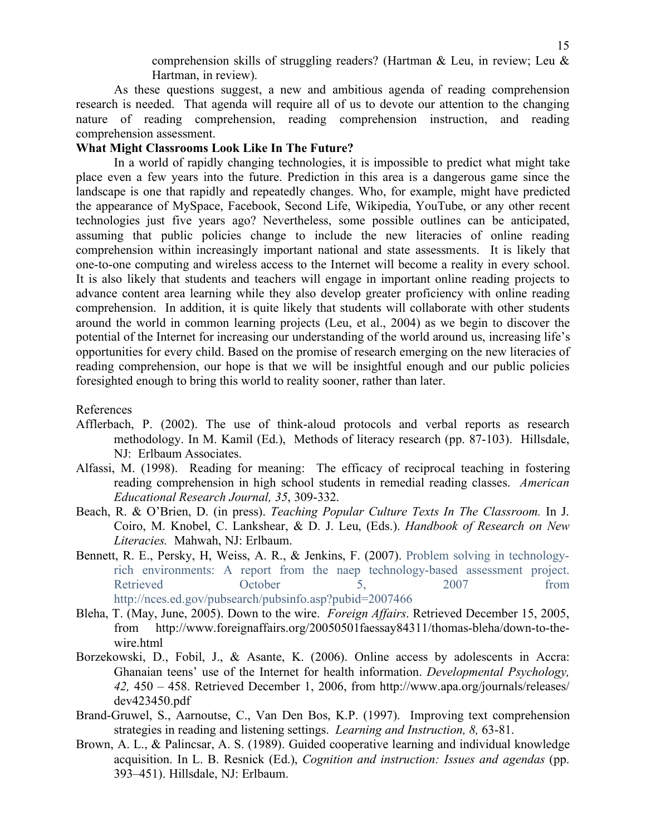comprehension skills of struggling readers? (Hartman & Leu, in review; Leu & Hartman, in review).

As these questions suggest, a new and ambitious agenda of reading comprehension research is needed. That agenda will require all of us to devote our attention to the changing nature of reading comprehension, reading comprehension instruction, and reading comprehension assessment.

#### **What Might Classrooms Look Like In The Future?**

In a world of rapidly changing technologies, it is impossible to predict what might take place even a few years into the future. Prediction in this area is a dangerous game since the landscape is one that rapidly and repeatedly changes. Who, for example, might have predicted the appearance of MySpace, Facebook, Second Life, Wikipedia, YouTube, or any other recent technologies just five years ago? Nevertheless, some possible outlines can be anticipated, assuming that public policies change to include the new literacies of online reading comprehension within increasingly important national and state assessments. It is likely that one-to-one computing and wireless access to the Internet will become a reality in every school. It is also likely that students and teachers will engage in important online reading projects to advance content area learning while they also develop greater proficiency with online reading comprehension. In addition, it is quite likely that students will collaborate with other students around the world in common learning projects (Leu, et al., 2004) as we begin to discover the potential of the Internet for increasing our understanding of the world around us, increasing life's opportunities for every child. Based on the promise of research emerging on the new literacies of reading comprehension, our hope is that we will be insightful enough and our public policies foresighted enough to bring this world to reality sooner, rather than later.

References

- Afflerbach, P. (2002). The use of think-aloud protocols and verbal reports as research methodology. In M. Kamil (Ed.), Methods of literacy research (pp. 87-103). Hillsdale, NJ: Erlbaum Associates.
- Alfassi, M. (1998). Reading for meaning: The efficacy of reciprocal teaching in fostering reading comprehension in high school students in remedial reading classes. *American Educational Research Journal, 35*, 309-332.
- Beach, R. & O'Brien, D. (in press). *Teaching Popular Culture Texts In The Classroom.* In J. Coiro, M. Knobel, C. Lankshear, & D. J. Leu, (Eds.). *Handbook of Research on New Literacies.* Mahwah, NJ: Erlbaum.
- Bennett, R. E., Persky, H, Weiss, A. R., & Jenkins, F. (2007). Problem solving in technologyrich environments: A report from the naep technology-based assessment project. Retrieved October 5, 2007 from http://nces.ed.gov/pubsearch/pubsinfo.asp?pubid=2007466
- Bleha, T. (May, June, 2005). Down to the wire. *Foreign Affairs*. Retrieved December 15, 2005, from http://www.foreignaffairs.org/20050501faessay84311/thomas-bleha/down-to-thewire.html
- Borzekowski, D., Fobil, J., & Asante, K. (2006). Online access by adolescents in Accra: Ghanaian teens' use of the Internet for health information. *Developmental Psychology, 42,* 450 – 458. Retrieved December 1, 2006, from http://www.apa.org/journals/releases/ dev423450.pdf
- Brand-Gruwel, S., Aarnoutse, C., Van Den Bos, K.P. (1997). Improving text comprehension strategies in reading and listening settings. *Learning and Instruction, 8,* 63-81.
- Brown, A. L., & Palincsar, A. S. (1989). Guided cooperative learning and individual knowledge acquisition. In L. B. Resnick (Ed.), *Cognition and instruction: Issues and agendas* (pp. 393–451). Hillsdale, NJ: Erlbaum.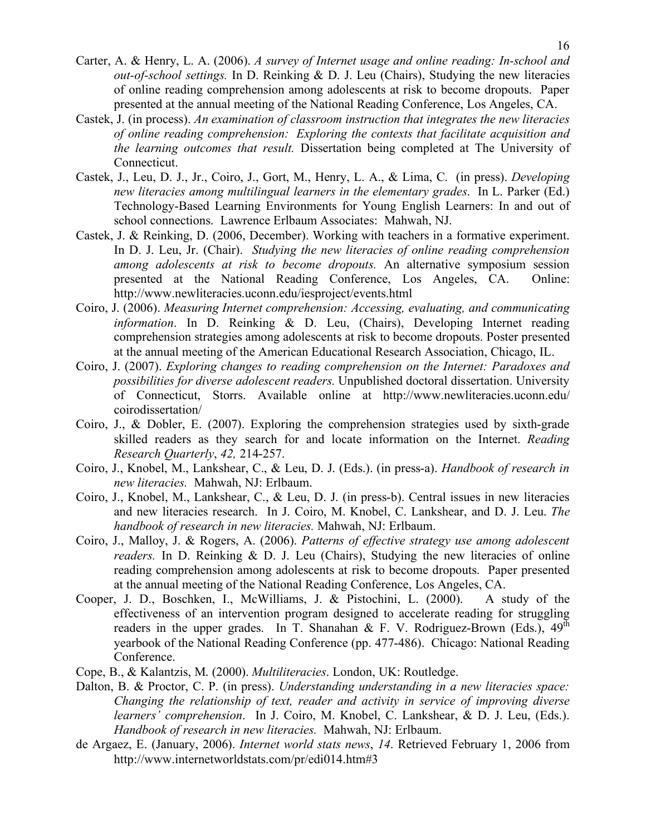- Carter, A. & Henry, L. A. (2006). *A survey of Internet usage and online reading: In-school and out-of-school settings.* In D. Reinking & D. J. Leu (Chairs), Studying the new literacies of online reading comprehension among adolescents at risk to become dropouts. Paper presented at the annual meeting of the National Reading Conference, Los Angeles, CA.
- Castek, J. (in process). *An examination of classroom instruction that integrates the new literacies of online reading comprehension: Exploring the contexts that facilitate acquisition and the learning outcomes that result.* Dissertation being completed at The University of Connecticut.
- Castek, J., Leu, D. J., Jr., Coiro, J., Gort, M., Henry, L. A., & Lima, C. (in press). *Developing new literacies among multilingual learners in the elementary grades*. In L. Parker (Ed.) Technology-Based Learning Environments for Young English Learners: In and out of school connections. Lawrence Erlbaum Associates: Mahwah, NJ.
- Castek, J. & Reinking, D. (2006, December). Working with teachers in a formative experiment. In D. J. Leu, Jr. (Chair). *Studying the new literacies of online reading comprehension among adolescents at risk to become dropouts.* An alternative symposium session presented at the National Reading Conference, Los Angeles, CA. Online: http://www.newliteracies.uconn.edu/iesproject/events.html
- Coiro, J. (2006). *Measuring Internet comprehension: Accessing, evaluating, and communicating information*. In D. Reinking & D. Leu, (Chairs), Developing Internet reading comprehension strategies among adolescents at risk to become dropouts. Poster presented at the annual meeting of the American Educational Research Association, Chicago, IL.
- Coiro, J. (2007). *Exploring changes to reading comprehension on the Internet: Paradoxes and possibilities for diverse adolescent readers.* Unpublished doctoral dissertation. University of Connecticut, Storrs. Available online at http://www.newliteracies.uconn.edu/ coirodissertation/
- Coiro, J., & Dobler, E. (2007). Exploring the comprehension strategies used by sixth-grade skilled readers as they search for and locate information on the Internet. *Reading Research Quarterly*, *42,* 214-257.
- Coiro, J., Knobel, M., Lankshear, C., & Leu, D. J. (Eds.). (in press-a). *Handbook of research in new literacies.* Mahwah, NJ: Erlbaum.
- Coiro, J., Knobel, M., Lankshear, C., & Leu, D. J. (in press-b). Central issues in new literacies and new literacies research. In J. Coiro, M. Knobel, C. Lankshear, and D. J. Leu. *The handbook of research in new literacies.* Mahwah, NJ: Erlbaum.
- Coiro, J., Malloy, J. & Rogers, A. (2006). *Patterns of effective strategy use among adolescent readers.* In D. Reinking & D. J. Leu (Chairs), Studying the new literacies of online reading comprehension among adolescents at risk to become dropouts. Paper presented at the annual meeting of the National Reading Conference, Los Angeles, CA.
- Cooper, J. D., Boschken, I., McWilliams, J. & Pistochini, L. (2000). A study of the effectiveness of an intervention program designed to accelerate reading for struggling readers in the upper grades. In T. Shanahan & F. V. Rodriguez-Brown (Eds.),  $49^{\text{th}}$ yearbook of the National Reading Conference (pp. 477-486). Chicago: National Reading Conference.
- Cope, B., & Kalantzis, M. (2000). *Multiliteracies*. London, UK: Routledge.
- Dalton, B. & Proctor, C. P. (in press). *Understanding understanding in a new literacies space: Changing the relationship of text, reader and activity in service of improving diverse learners' comprehension*. In J. Coiro, M. Knobel, C. Lankshear, & D. J. Leu, (Eds.). *Handbook of research in new literacies.* Mahwah, NJ: Erlbaum.
- de Argaez, E. (January, 2006). *Internet world stats news*, *14*. Retrieved February 1, 2006 from http://www.internetworldstats.com/pr/edi014.htm#3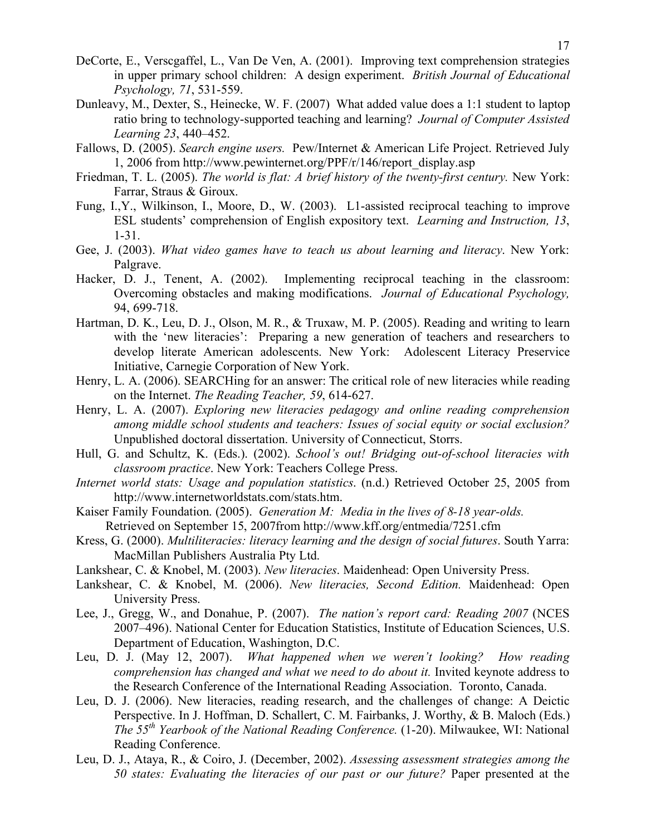- DeCorte, E., Verscgaffel, L., Van De Ven, A. (2001). Improving text comprehension strategies in upper primary school children: A design experiment. *British Journal of Educational Psychology, 71*, 531-559.
- Dunleavy, M., Dexter, S., Heinecke, W. F. (2007) What added value does a 1:1 student to laptop ratio bring to technology-supported teaching and learning? *Journal of Computer Assisted Learning 23*, 440–452.
- Fallows, D. (2005). *Search engine users.* Pew/Internet & American Life Project. Retrieved July 1, 2006 from http://www.pewinternet.org/PPF/r/146/report\_display.asp
- Friedman, T. L. (2005). *The world is flat: A brief history of the twenty-first century.* New York: Farrar, Straus & Giroux.
- Fung, I.,Y., Wilkinson, I., Moore, D., W. (2003). L1-assisted reciprocal teaching to improve ESL students' comprehension of English expository text. *Learning and Instruction, 13*, 1-31.
- Gee, J. (2003). *What video games have to teach us about learning and literacy*. New York: Palgrave.
- Hacker, D. J., Tenent, A. (2002). Implementing reciprocal teaching in the classroom: Overcoming obstacles and making modifications. *Journal of Educational Psychology,*  94, 699-718.
- Hartman, D. K., Leu, D. J., Olson, M. R., & Truxaw, M. P. (2005). Reading and writing to learn with the 'new literacies': Preparing a new generation of teachers and researchers to develop literate American adolescents. New York: Adolescent Literacy Preservice Initiative, Carnegie Corporation of New York.
- Henry, L. A. (2006). SEARCHing for an answer: The critical role of new literacies while reading on the Internet. *The Reading Teacher, 59*, 614-627.
- Henry, L. A. (2007). *Exploring new literacies pedagogy and online reading comprehension among middle school students and teachers: Issues of social equity or social exclusion?* Unpublished doctoral dissertation. University of Connecticut, Storrs.
- Hull, G. and Schultz, K. (Eds.). (2002). *School's out! Bridging out-of-school literacies with classroom practice*. New York: Teachers College Press.
- *Internet world stats: Usage and population statistics*. (n.d.) Retrieved October 25, 2005 from http://www.internetworldstats.com/stats.htm.
- Kaiser Family Foundation. (2005). *Generation M: Media in the lives of 8-18 year-olds.* Retrieved on September 15, 2007from http://www.kff.org/entmedia/7251.cfm
- Kress, G. (2000). *Multiliteracies: literacy learning and the design of social futures*. South Yarra: MacMillan Publishers Australia Pty Ltd.
- Lankshear, C. & Knobel, M. (2003). *New literacies*. Maidenhead: Open University Press.
- Lankshear, C. & Knobel, M. (2006). *New literacies, Second Edition.* Maidenhead: Open University Press.
- Lee, J., Gregg, W., and Donahue, P. (2007). *The nation's report card: Reading 2007* (NCES 2007–496). National Center for Education Statistics, Institute of Education Sciences, U.S. Department of Education, Washington, D.C.
- Leu, D. J. (May 12, 2007). *What happened when we weren't looking? How reading comprehension has changed and what we need to do about it.* Invited keynote address to the Research Conference of the International Reading Association. Toronto, Canada.
- Leu, D. J. (2006). New literacies, reading research, and the challenges of change: A Deictic Perspective. In J. Hoffman, D. Schallert, C. M. Fairbanks, J. Worthy, & B. Maloch (Eds.) *The 55th Yearbook of the National Reading Conference.* (1-20). Milwaukee, WI: National Reading Conference.
- Leu, D. J., Ataya, R., & Coiro, J. (December, 2002). *Assessing assessment strategies among the 50 states: Evaluating the literacies of our past or our future?* Paper presented at the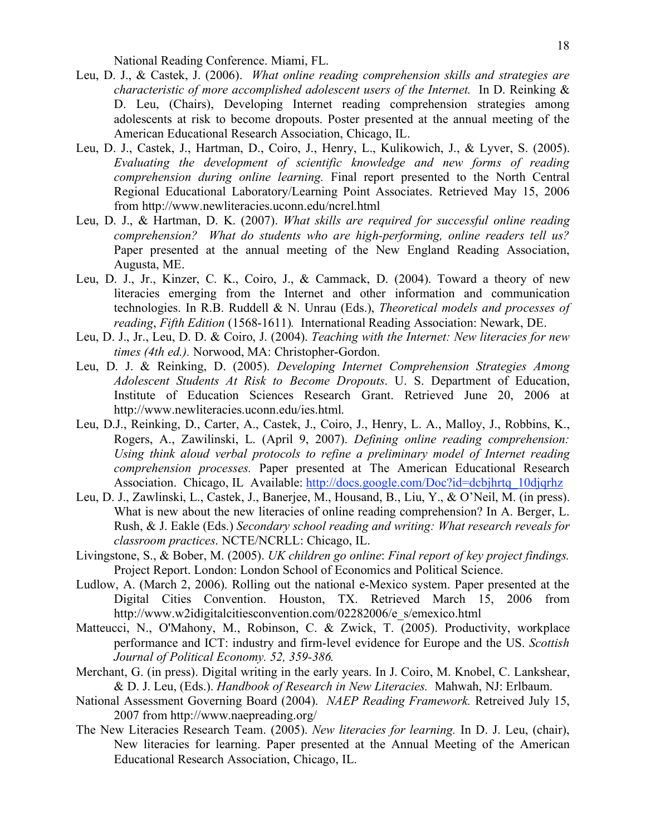National Reading Conference. Miami, FL.

- Leu, D. J., & Castek, J. (2006). *What online reading comprehension skills and strategies are characteristic of more accomplished adolescent users of the Internet.* In D. Reinking & D. Leu, (Chairs), Developing Internet reading comprehension strategies among adolescents at risk to become dropouts. Poster presented at the annual meeting of the American Educational Research Association, Chicago, IL.
- Leu, D. J., Castek, J., Hartman, D., Coiro, J., Henry, L., Kulikowich, J., & Lyver, S. (2005). *Evaluating the development of scientific knowledge and new forms of reading comprehension during online learning.* Final report presented to the North Central Regional Educational Laboratory/Learning Point Associates. Retrieved May 15, 2006 from http://www.newliteracies.uconn.edu/ncrel.html
- Leu, D. J., & Hartman, D. K. (2007). *What skills are required for successful online reading comprehension? What do students who are high-performing, online readers tell us?*  Paper presented at the annual meeting of the New England Reading Association, Augusta, ME.
- Leu, D. J., Jr., Kinzer, C. K., Coiro, J., & Cammack, D. (2004). Toward a theory of new literacies emerging from the Internet and other information and communication technologies. In R.B. Ruddell & N. Unrau (Eds.), *Theoretical models and processes of reading*, *Fifth Edition* (1568-1611)*.* International Reading Association: Newark, DE.
- Leu, D. J., Jr., Leu, D. D. & Coiro, J. (2004). *Teaching with the Internet: New literacies for new times (4th ed.).* Norwood, MA: Christopher-Gordon.
- Leu, D. J. & Reinking, D. (2005). *Developing Internet Comprehension Strategies Among Adolescent Students At Risk to Become Dropouts*. U. S. Department of Education, Institute of Education Sciences Research Grant. Retrieved June 20, 2006 at http://www.newliteracies.uconn.edu/ies.html.
- Leu, D.J., Reinking, D., Carter, A., Castek, J., Coiro, J., Henry, L. A., Malloy, J., Robbins, K., Rogers, A., Zawilinski, L. (April 9, 2007). *Defining online reading comprehension: Using think aloud verbal protocols to refine a preliminary model of Internet reading comprehension processes.* Paper presented at The American Educational Research Association. Chicago, IL Available: http://docs.google.com/Doc?id=dcbjhrtq\_10djqrhz
- Leu, D. J., Zawlinski, L., Castek, J., Banerjee, M., Housand, B., Liu, Y., & O'Neil, M. (in press). What is new about the new literacies of online reading comprehension? In A. Berger, L. Rush, & J. Eakle (Eds.) *Secondary school reading and writing: What research reveals for classroom practices*. NCTE/NCRLL: Chicago, IL.
- Livingstone, S., & Bober, M. (2005). *UK children go online*: *Final report of key project findings.* Project Report. London: London School of Economics and Political Science.
- Ludlow, A. (March 2, 2006). Rolling out the national e-Mexico system. Paper presented at the Digital Cities Convention. Houston, TX. Retrieved March 15, 2006 from http://www.w2idigitalcitiesconvention.com/02282006/e\_s/emexico.html
- Matteucci, N., O'Mahony, M., Robinson, C. & Zwick, T. (2005). Productivity, workplace performance and ICT: industry and firm-level evidence for Europe and the US. *Scottish Journal of Political Economy. 52, 359-386.*
- Merchant, G. (in press). Digital writing in the early years. In J. Coiro, M. Knobel, C. Lankshear, & D. J. Leu, (Eds.). *Handbook of Research in New Literacies.* Mahwah, NJ: Erlbaum.
- National Assessment Governing Board (2004). *NAEP Reading Framework.* Retreived July 15, 2007 from http://www.naepreading.org/
- The New Literacies Research Team. (2005). *New literacies for learning.* In D. J. Leu, (chair), New literacies for learning. Paper presented at the Annual Meeting of the American Educational Research Association, Chicago, IL.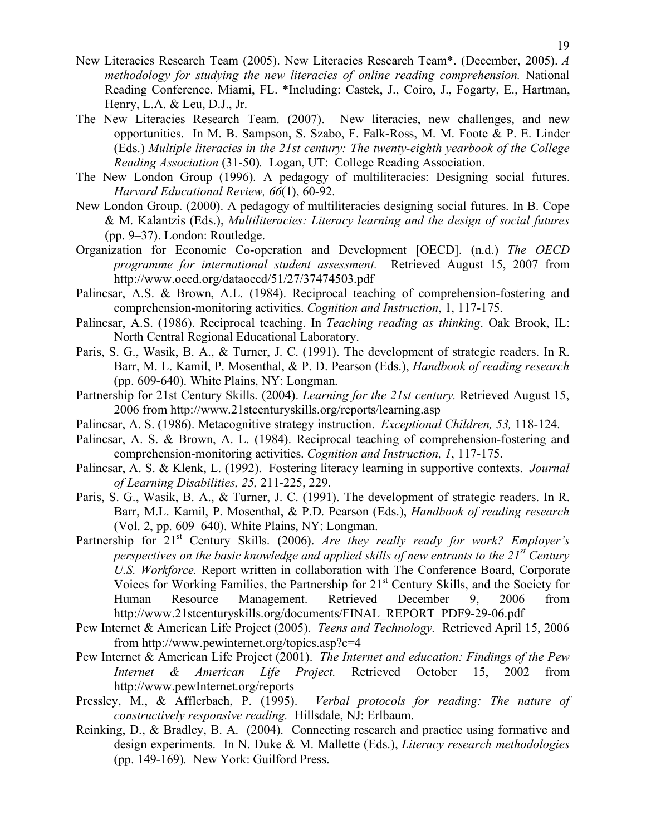- New Literacies Research Team (2005). New Literacies Research Team\*. (December, 2005). *A methodology for studying the new literacies of online reading comprehension.* National Reading Conference. Miami, FL. \*Including: Castek, J., Coiro, J., Fogarty, E., Hartman, Henry, L.A. & Leu, D.J., Jr.
- The New Literacies Research Team. (2007). New literacies, new challenges, and new opportunities. In M. B. Sampson, S. Szabo, F. Falk-Ross, M. M. Foote & P. E. Linder (Eds.) *Multiple literacies in the 21st century: The twenty-eighth yearbook of the College Reading Association* (31-50)*.* Logan, UT: College Reading Association.
- The New London Group (1996). A pedagogy of multiliteracies: Designing social futures. *Harvard Educational Review, 66*(1), 60-92.
- New London Group. (2000). A pedagogy of multiliteracies designing social futures. In B. Cope & M. Kalantzis (Eds.), *Multiliteracies: Literacy learning and the design of social futures* (pp. 9–37). London: Routledge.
- Organization for Economic Co-operation and Development [OECD]. (n.d.) *The OECD programme for international student assessment.* Retrieved August 15, 2007 from http://www.oecd.org/dataoecd/51/27/37474503.pdf
- Palincsar, A.S. & Brown, A.L. (1984). Reciprocal teaching of comprehension-fostering and comprehension-monitoring activities. *Cognition and Instruction*, 1, 117-175.
- Palincsar, A.S. (1986). Reciprocal teaching. In *Teaching reading as thinking*. Oak Brook, IL: North Central Regional Educational Laboratory.
- Paris, S. G., Wasik, B. A., & Turner, J. C. (1991). The development of strategic readers. In R. Barr, M. L. Kamil, P. Mosenthal, & P. D. Pearson (Eds.), *Handbook of reading research* (pp. 609-640). White Plains, NY: Longman.
- Partnership for 21st Century Skills. (2004). *Learning for the 21st century.* Retrieved August 15, 2006 from http://www.21stcenturyskills.org/reports/learning.asp
- Palincsar, A. S. (1986). Metacognitive strategy instruction. *Exceptional Children, 53,* 118-124.
- Palincsar, A. S. & Brown, A. L. (1984). Reciprocal teaching of comprehension-fostering and comprehension-monitoring activities. *Cognition and Instruction, 1*, 117-175.
- Palincsar, A. S. & Klenk, L. (1992). Fostering literacy learning in supportive contexts. *Journal of Learning Disabilities, 25,* 211-225, 229.
- Paris, S. G., Wasik, B. A., & Turner, J. C. (1991). The development of strategic readers. In R. Barr, M.L. Kamil, P. Mosenthal, & P.D. Pearson (Eds.), *Handbook of reading research*  (Vol. 2, pp. 609–640). White Plains, NY: Longman.
- Partnership for 21<sup>st</sup> Century Skills. (2006). *Are they really ready for work? Employer's perspectives on the basic knowledge and applied skills of new entrants to the 21st Century U.S. Workforce.* Report written in collaboration with The Conference Board, Corporate Voices for Working Families, the Partnership for 21st Century Skills, and the Society for Human Resource Management. Retrieved December 9, 2006 from http://www.21stcenturyskills.org/documents/FINAL\_REPORT\_PDF9-29-06.pdf
- Pew Internet & American Life Project (2005). *Teens and Technology.* Retrieved April 15, 2006 from http://www.pewinternet.org/topics.asp?c=4
- Pew Internet & American Life Project (2001). *The Internet and education: Findings of the Pew Internet & American Life Project.* Retrieved October 15, 2002 from http://www.pewInternet.org/reports
- Pressley, M., & Afflerbach, P. (1995). *Verbal protocols for reading: The nature of constructively responsive reading.* Hillsdale, NJ: Erlbaum.
- Reinking, D., & Bradley, B. A. (2004). Connecting research and practice using formative and design experiments. In N. Duke & M. Mallette (Eds.), *Literacy research methodologies* (pp. 149-169)*.* New York: Guilford Press.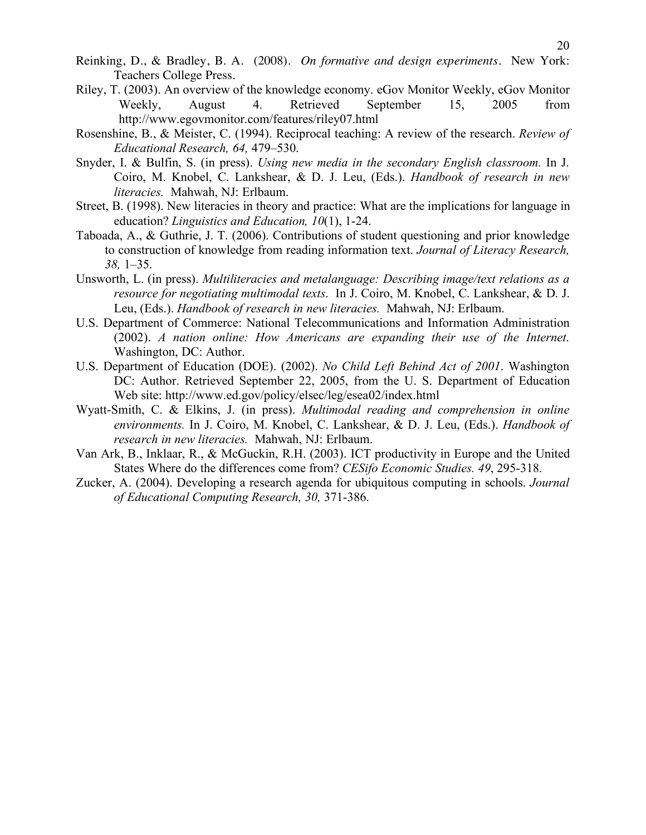- Reinking, D., & Bradley, B. A. (2008). *On formative and design experiments.* New York: Teachers College Press.
- Riley, T. (2003). An overview of the knowledge economy. eGov Monitor Weekly, eGov Monitor Weekly, August 4. Retrieved September 15, 2005 from http://www.egovmonitor.com/features/riley07.html
- Rosenshine, B., & Meister, C. (1994). Reciprocal teaching: A review of the research. *Review of Educational Research, 64,* 479–530.
- Snyder, I. & Bulfin, S. (in press). *Using new media in the secondary English classroom.* In J. Coiro, M. Knobel, C. Lankshear, & D. J. Leu, (Eds.). *Handbook of research in new literacies.* Mahwah, NJ: Erlbaum.
- Street, B. (1998). New literacies in theory and practice: What are the implications for language in education? *Linguistics and Education, 10*(1), 1-24.
- Taboada, A., & Guthrie, J. T. (2006). Contributions of student questioning and prior knowledge to construction of knowledge from reading information text. *Journal of Literacy Research, 38,* 1–35.
- Unsworth, L. (in press). *Multiliteracies and metalanguage: Describing image/text relations as a resource for negotiating multimodal texts*. In J. Coiro, M. Knobel, C. Lankshear, & D. J. Leu, (Eds.). *Handbook of research in new literacies.* Mahwah, NJ: Erlbaum.
- U.S. Department of Commerce: National Telecommunications and Information Administration (2002). *A nation online: How Americans are expanding their use of the Internet*. Washington, DC: Author.
- U.S. Department of Education (DOE). (2002). *No Child Left Behind Act of 2001*. Washington DC: Author. Retrieved September 22, 2005, from the U. S. Department of Education Web site: http://www.ed.gov/policy/elsec/leg/esea02/index.html
- Wyatt-Smith, C. & Elkins, J. (in press). *Multimodal reading and comprehension in online environments.* In J. Coiro, M. Knobel, C. Lankshear, & D. J. Leu, (Eds.). *Handbook of research in new literacies.* Mahwah, NJ: Erlbaum.
- Van Ark, B., Inklaar, R., & McGuckin, R.H. (2003). ICT productivity in Europe and the United States Where do the differences come from? *CESifo Economic Studies. 49*, 295-318.
- Zucker, A. (2004). Developing a research agenda for ubiquitous computing in schools. *Journal of Educational Computing Research, 30,* 371-386.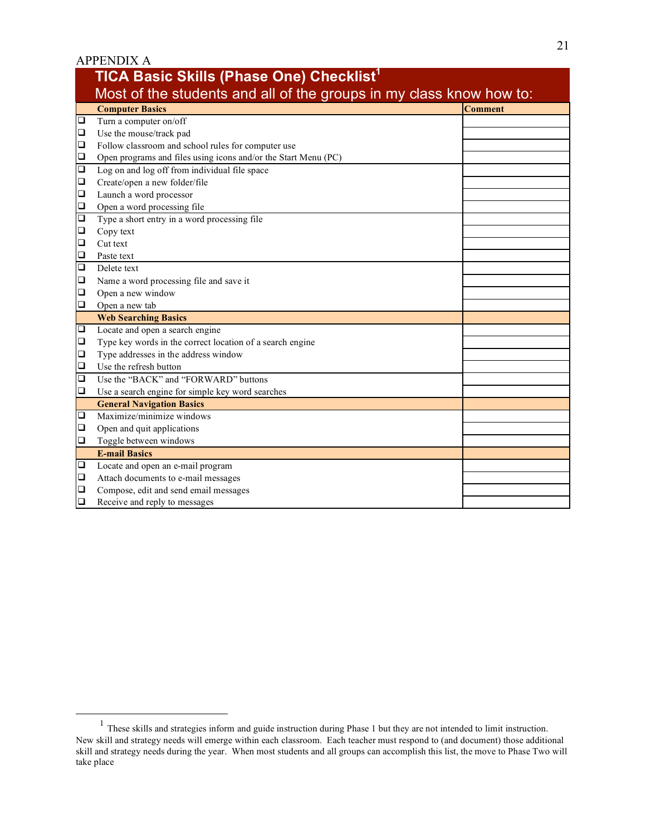# APPENDIX A

|        | <b>TICA Basic Skills (Phase One) Checklist<sup>1</sup></b>          |                |  |  |
|--------|---------------------------------------------------------------------|----------------|--|--|
|        | Most of the students and all of the groups in my class know how to: |                |  |  |
|        | <b>Computer Basics</b>                                              | <b>Comment</b> |  |  |
| $\Box$ | Turn a computer on/off                                              |                |  |  |
| $\Box$ | Use the mouse/track pad                                             |                |  |  |
| ❏      | Follow classroom and school rules for computer use                  |                |  |  |
| ❏      | Open programs and files using icons and/or the Start Menu (PC)      |                |  |  |
| ❏      | Log on and log off from individual file space                       |                |  |  |
| ❏      | Create/open a new folder/file                                       |                |  |  |
| ❏      | Launch a word processor                                             |                |  |  |
| ❏      | Open a word processing file                                         |                |  |  |
| ❏      | Type a short entry in a word processing file                        |                |  |  |
| ❏      | Copy text                                                           |                |  |  |
| ❏      | Cut text                                                            |                |  |  |
| □      | Paste text                                                          |                |  |  |
| □      | Delete text                                                         |                |  |  |
| ❏      | Name a word processing file and save it                             |                |  |  |
| ❏      | Open a new window                                                   |                |  |  |
| ❏      | Open a new tab                                                      |                |  |  |
|        | <b>Web Searching Basics</b>                                         |                |  |  |
| ⊔      | Locate and open a search engine                                     |                |  |  |
| ❏      | Type key words in the correct location of a search engine           |                |  |  |
| ❏      | Type addresses in the address window                                |                |  |  |
| ❏      | Use the refresh button                                              |                |  |  |
| ❏      | Use the "BACK" and "FORWARD" buttons                                |                |  |  |
| ❏      | Use a search engine for simple key word searches                    |                |  |  |
|        | <b>General Navigation Basics</b>                                    |                |  |  |
| ❏      | Maximize/minimize windows                                           |                |  |  |
| ❏      | Open and quit applications                                          |                |  |  |
| ❏      | Toggle between windows                                              |                |  |  |
|        | <b>E-mail Basics</b>                                                |                |  |  |
| $\Box$ | Locate and open an e-mail program                                   |                |  |  |
| ❏      | Attach documents to e-mail messages                                 |                |  |  |
| ❏      | Compose, edit and send email messages                               |                |  |  |
| ❏      | Receive and reply to messages                                       |                |  |  |

<sup>&</sup>lt;sup>1</sup> These skills and strategies inform and guide instruction during Phase 1 but they are not intended to limit instruction. New skill and strategy needs will emerge within each classroom. Each teacher must respond to (and document) those additional skill and strategy needs during the year. When most students and all groups can accomplish this list, the move to Phase Two will take place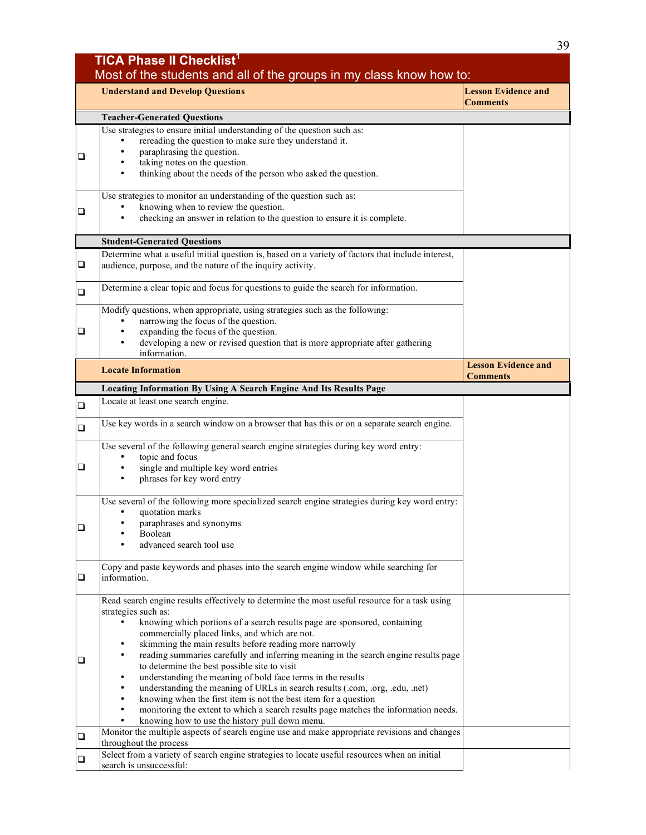| <b>TICA Phase II Checklist<sup>1</sup></b> |                                                                                                                                                                                                                                                                                                                                                                                                                                                                                                                                                                                                                                                                                                                                                                                                                                                       |                                               |  |  |  |  |
|--------------------------------------------|-------------------------------------------------------------------------------------------------------------------------------------------------------------------------------------------------------------------------------------------------------------------------------------------------------------------------------------------------------------------------------------------------------------------------------------------------------------------------------------------------------------------------------------------------------------------------------------------------------------------------------------------------------------------------------------------------------------------------------------------------------------------------------------------------------------------------------------------------------|-----------------------------------------------|--|--|--|--|
|                                            | Most of the students and all of the groups in my class know how to:                                                                                                                                                                                                                                                                                                                                                                                                                                                                                                                                                                                                                                                                                                                                                                                   |                                               |  |  |  |  |
|                                            | <b>Understand and Develop Questions</b>                                                                                                                                                                                                                                                                                                                                                                                                                                                                                                                                                                                                                                                                                                                                                                                                               | <b>Lesson Evidence and</b><br><b>Comments</b> |  |  |  |  |
|                                            | <b>Teacher-Generated Questions</b>                                                                                                                                                                                                                                                                                                                                                                                                                                                                                                                                                                                                                                                                                                                                                                                                                    |                                               |  |  |  |  |
| $\Box$                                     | Use strategies to ensure initial understanding of the question such as:<br>rereading the question to make sure they understand it.<br>paraphrasing the question.<br>taking notes on the question.<br>$\bullet$<br>thinking about the needs of the person who asked the question.                                                                                                                                                                                                                                                                                                                                                                                                                                                                                                                                                                      |                                               |  |  |  |  |
| ❏                                          | Use strategies to monitor an understanding of the question such as:<br>knowing when to review the question.<br>checking an answer in relation to the question to ensure it is complete.                                                                                                                                                                                                                                                                                                                                                                                                                                                                                                                                                                                                                                                               |                                               |  |  |  |  |
|                                            | <b>Student-Generated Questions</b>                                                                                                                                                                                                                                                                                                                                                                                                                                                                                                                                                                                                                                                                                                                                                                                                                    |                                               |  |  |  |  |
| $\Box$                                     | Determine what a useful initial question is, based on a variety of factors that include interest,<br>audience, purpose, and the nature of the inquiry activity.                                                                                                                                                                                                                                                                                                                                                                                                                                                                                                                                                                                                                                                                                       |                                               |  |  |  |  |
| $\Box$                                     | Determine a clear topic and focus for questions to guide the search for information.                                                                                                                                                                                                                                                                                                                                                                                                                                                                                                                                                                                                                                                                                                                                                                  |                                               |  |  |  |  |
| ❏                                          | Modify questions, when appropriate, using strategies such as the following:<br>narrowing the focus of the question.<br>expanding the focus of the question.<br>developing a new or revised question that is more appropriate after gathering<br>$\bullet$<br>information                                                                                                                                                                                                                                                                                                                                                                                                                                                                                                                                                                              |                                               |  |  |  |  |
|                                            | <b>Locate Information</b>                                                                                                                                                                                                                                                                                                                                                                                                                                                                                                                                                                                                                                                                                                                                                                                                                             | <b>Lesson Evidence and</b><br><b>Comments</b> |  |  |  |  |
|                                            | Locating Information By Using A Search Engine And Its Results Page                                                                                                                                                                                                                                                                                                                                                                                                                                                                                                                                                                                                                                                                                                                                                                                    |                                               |  |  |  |  |
| $\Box$                                     | Locate at least one search engine.                                                                                                                                                                                                                                                                                                                                                                                                                                                                                                                                                                                                                                                                                                                                                                                                                    |                                               |  |  |  |  |
| ❏                                          | Use key words in a search window on a browser that has this or on a separate search engine.                                                                                                                                                                                                                                                                                                                                                                                                                                                                                                                                                                                                                                                                                                                                                           |                                               |  |  |  |  |
| ❏                                          | Use several of the following general search engine strategies during key word entry:<br>topic and focus<br>single and multiple key word entries<br>$\bullet$<br>phrases for key word entry<br>$\bullet$                                                                                                                                                                                                                                                                                                                                                                                                                                                                                                                                                                                                                                               |                                               |  |  |  |  |
| ⊔                                          | Use several of the following more specialized search engine strategies during key word entry:<br>quotation marks<br>paraphrases and synonyms<br>Boolean<br>advanced search tool use                                                                                                                                                                                                                                                                                                                                                                                                                                                                                                                                                                                                                                                                   |                                               |  |  |  |  |
| $\Box$                                     | Copy and paste keywords and phases into the search engine window while searching for<br>information.                                                                                                                                                                                                                                                                                                                                                                                                                                                                                                                                                                                                                                                                                                                                                  |                                               |  |  |  |  |
| ❏                                          | Read search engine results effectively to determine the most useful resource for a task using<br>strategies such as:<br>knowing which portions of a search results page are sponsored, containing<br>commercially placed links, and which are not.<br>skimming the main results before reading more narrowly<br>$\bullet$<br>reading summaries carefully and inferring meaning in the search engine results page<br>to determine the best possible site to visit<br>understanding the meaning of bold face terms in the results<br>understanding the meaning of URLs in search results (.com, .org, .edu, .net)<br>knowing when the first item is not the best item for a question<br>monitoring the extent to which a search results page matches the information needs.<br>$\bullet$<br>knowing how to use the history pull down menu.<br>$\bullet$ |                                               |  |  |  |  |
| ❏                                          | Monitor the multiple aspects of search engine use and make appropriate revisions and changes                                                                                                                                                                                                                                                                                                                                                                                                                                                                                                                                                                                                                                                                                                                                                          |                                               |  |  |  |  |
| o.                                         | throughout the process<br>Select from a variety of search engine strategies to locate useful resources when an initial<br>search is unsuccessful:                                                                                                                                                                                                                                                                                                                                                                                                                                                                                                                                                                                                                                                                                                     |                                               |  |  |  |  |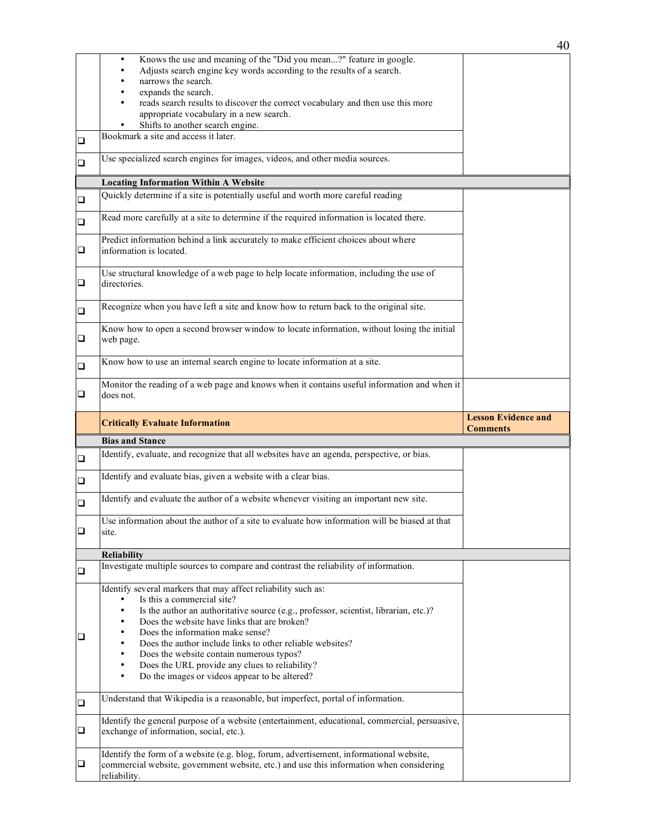|        | Knows the use and meaning of the "Did you mean?" feature in google.<br>٠                                                                                                           |                            |
|--------|------------------------------------------------------------------------------------------------------------------------------------------------------------------------------------|----------------------------|
|        | Adjusts search engine key words according to the results of a search.<br>narrows the search.                                                                                       |                            |
|        | expands the search.                                                                                                                                                                |                            |
|        | reads search results to discover the correct vocabulary and then use this more<br>appropriate vocabulary in a new search.                                                          |                            |
|        | Shifts to another search engine.                                                                                                                                                   |                            |
| $\Box$ | Bookmark a site and access it later.                                                                                                                                               |                            |
| $\Box$ | Use specialized search engines for images, videos, and other media sources.                                                                                                        |                            |
|        | <b>Locating Information Within A Website</b>                                                                                                                                       |                            |
| ❏      | Quickly determine if a site is potentially useful and worth more careful reading                                                                                                   |                            |
| $\Box$ | Read more carefully at a site to determine if the required information is located there.                                                                                           |                            |
| ❏      | Predict information behind a link accurately to make efficient choices about where<br>information is located.                                                                      |                            |
| $\Box$ | Use structural knowledge of a web page to help locate information, including the use of<br>directories.                                                                            |                            |
| ❏      | Recognize when you have left a site and know how to return back to the original site.                                                                                              |                            |
| ❏      | Know how to open a second browser window to locate information, without losing the initial<br>web page.                                                                            |                            |
| $\Box$ | Know how to use an internal search engine to locate information at a site.                                                                                                         |                            |
| ❏      | Monitor the reading of a web page and knows when it contains useful information and when it<br>does not.                                                                           |                            |
|        |                                                                                                                                                                                    | <b>Lesson Evidence and</b> |
|        | <b>Critically Evaluate Information</b>                                                                                                                                             | <b>Comments</b>            |
|        | <b>Bias and Stance</b>                                                                                                                                                             |                            |
| ❏      | Identify, evaluate, and recognize that all websites have an agenda, perspective, or bias.                                                                                          |                            |
| $\Box$ | Identify and evaluate bias, given a website with a clear bias.                                                                                                                     |                            |
| $\Box$ | Identify and evaluate the author of a website whenever visiting an important new site.                                                                                             |                            |
| ❏      | Use information about the author of a site to evaluate how information will be biased at that<br>site.                                                                             |                            |
|        | <b>Reliability</b>                                                                                                                                                                 |                            |
| ❏      | Investigate multiple sources to compare and contrast the reliability of information.                                                                                               |                            |
|        | Identify several markers that may affect reliability such as:                                                                                                                      |                            |
|        | Is this a commercial site?<br>٠                                                                                                                                                    |                            |
|        | Is the author an authoritative source (e.g., professor, scientist, librarian, etc.)?<br>Does the website have links that are broken?<br>٠                                          |                            |
| ❏      | Does the information make sense?                                                                                                                                                   |                            |
|        | Does the author include links to other reliable websites?<br>٠                                                                                                                     |                            |
|        | Does the website contain numerous typos?<br>Does the URL provide any clues to reliability?<br>$\bullet$                                                                            |                            |
|        | Do the images or videos appear to be altered?<br>$\bullet$                                                                                                                         |                            |
| $\Box$ | Understand that Wikipedia is a reasonable, but imperfect, portal of information.                                                                                                   |                            |
|        | Identify the general purpose of a website (entertainment, educational, commercial, persuasive,                                                                                     |                            |
| ⊔      | exchange of information, social, etc.).                                                                                                                                            |                            |
| ⊔      | Identify the form of a website (e.g. blog, forum, advertisement, informational website,<br>commercial website, government website, etc.) and use this information when considering |                            |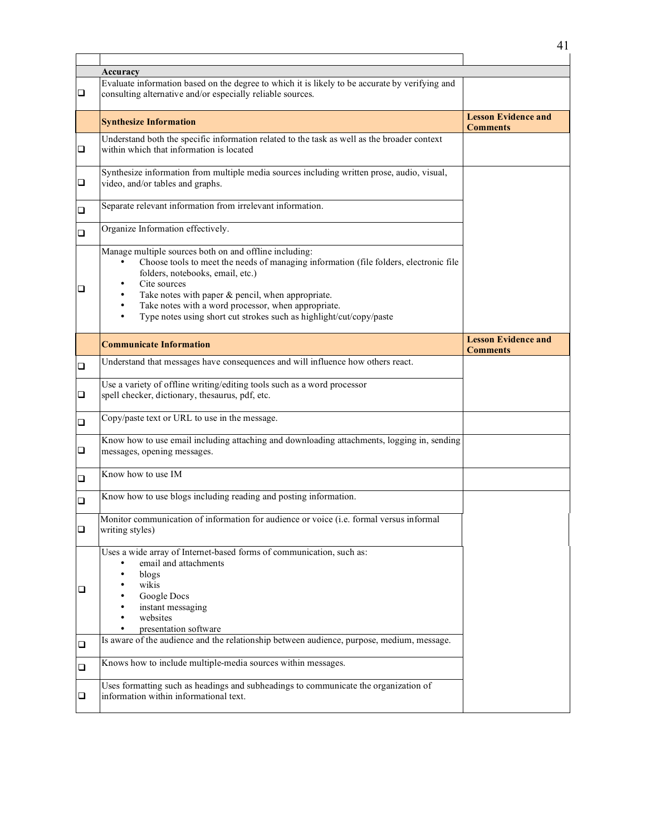|        | Accuracy                                                                                                                                                                                                                                                                                                                                                                                                            |                                               |
|--------|---------------------------------------------------------------------------------------------------------------------------------------------------------------------------------------------------------------------------------------------------------------------------------------------------------------------------------------------------------------------------------------------------------------------|-----------------------------------------------|
| ❏      | Evaluate information based on the degree to which it is likely to be accurate by verifying and<br>consulting alternative and/or especially reliable sources.                                                                                                                                                                                                                                                        |                                               |
|        | <b>Synthesize Information</b>                                                                                                                                                                                                                                                                                                                                                                                       | <b>Lesson Evidence and</b><br><b>Comments</b> |
| ❏      | Understand both the specific information related to the task as well as the broader context<br>within which that information is located                                                                                                                                                                                                                                                                             |                                               |
| ❏      | Synthesize information from multiple media sources including written prose, audio, visual,<br>video, and/or tables and graphs.                                                                                                                                                                                                                                                                                      |                                               |
| ❏      | Separate relevant information from irrelevant information.                                                                                                                                                                                                                                                                                                                                                          |                                               |
| $\Box$ | Organize Information effectively.                                                                                                                                                                                                                                                                                                                                                                                   |                                               |
| ❏      | Manage multiple sources both on and offline including:<br>Choose tools to meet the needs of managing information (file folders, electronic file<br>folders, notebooks, email, etc.)<br>Cite sources<br>Take notes with paper $\&$ pencil, when appropriate.<br>Take notes with a word processor, when appropriate.<br>$\bullet$<br>Type notes using short cut strokes such as highlight/cut/copy/paste<br>$\bullet$ |                                               |
|        | <b>Communicate Information</b>                                                                                                                                                                                                                                                                                                                                                                                      | <b>Lesson Evidence and</b><br><b>Comments</b> |
| $\Box$ | Understand that messages have consequences and will influence how others react.                                                                                                                                                                                                                                                                                                                                     |                                               |
| ❏      | Use a variety of offline writing/editing tools such as a word processor<br>spell checker, dictionary, thesaurus, pdf, etc.                                                                                                                                                                                                                                                                                          |                                               |
| $\Box$ | Copy/paste text or URL to use in the message.                                                                                                                                                                                                                                                                                                                                                                       |                                               |
| $\Box$ | Know how to use email including attaching and downloading attachments, logging in, sending<br>messages, opening messages.                                                                                                                                                                                                                                                                                           |                                               |
| ❏      | Know how to use IM                                                                                                                                                                                                                                                                                                                                                                                                  |                                               |
| ❏      | Know how to use blogs including reading and posting information.                                                                                                                                                                                                                                                                                                                                                    |                                               |
| ⊔      | Monitor communication of information for audience or voice (i.e. formal versus informal<br>writing styles)                                                                                                                                                                                                                                                                                                          |                                               |
| ❏      | Uses a wide array of Internet-based forms of communication, such as:<br>email and attachments<br>blogs<br>wikis<br>Google Docs<br>instant messaging<br>websites<br>presentation software                                                                                                                                                                                                                            |                                               |
| $\Box$ | Is aware of the audience and the relationship between audience, purpose, medium, message.                                                                                                                                                                                                                                                                                                                           |                                               |
| ❏      | Knows how to include multiple-media sources within messages.                                                                                                                                                                                                                                                                                                                                                        |                                               |
| ❏      | Uses formatting such as headings and subheadings to communicate the organization of<br>information within informational text.                                                                                                                                                                                                                                                                                       |                                               |